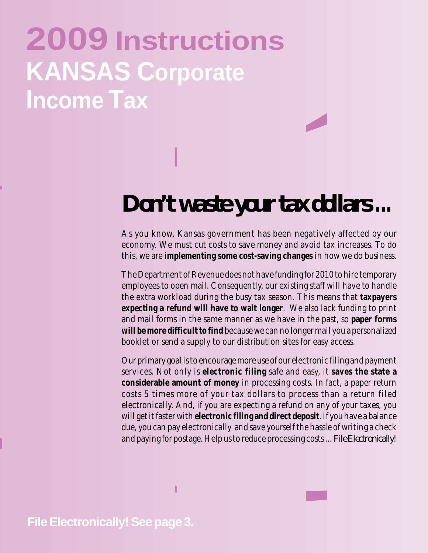# **2009 Instructions KANSAS Corporate Income Tax**

## *Don't waste your tax dollars* **...**

As you know, Kansas government has been negatively affected by our economy. We must cut costs to save money and avoid tax increases. To do this, we are **implementing some cost-saving changes** in how we do business.

The Department of Revenue does not have funding for 2010 to hire temporary employees to open mail. Consequently, our existing staff will have to handle the extra workload during the busy tax season. This means that **taxpayers expecting a refund will have to wait longer**. We also lack funding to print and mail forms in the same manner as we have in the past, so **paper forms will be more difficult to find** because we can no longer mail you a personalized booklet or send a supply to our distribution sites for easy access.

Our primary goal is to encourage more use of our electronic filing and payment services. Not only is **electronic filing** safe and easy, it **saves the state a considerable amount of money** in processing costs. In fact, a paper return costs 5 times more of your tax dollars to process than a return filed electronically. And, if you are expecting a refund on any of your taxes, you will get it faster with **electronic filing and direct deposit**. If you have a balance due, you can pay electronically and save yourself the hassle of writing a check and paying for postage. Help us to reduce processing costs ... *File Electronically*!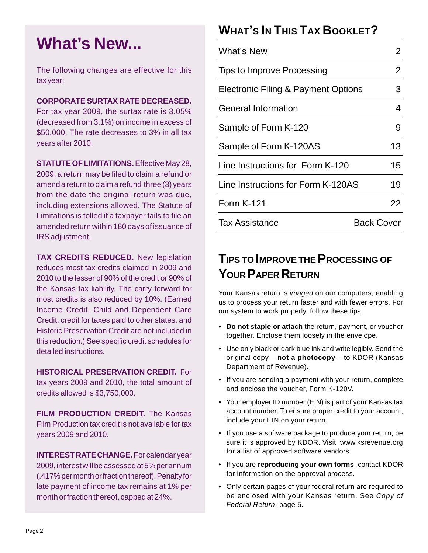## **What's New...**

The following changes are effective for this tax year:

#### **CORPORATE SURTAX RATE DECREASED.**

For tax year 2009, the surtax rate is 3.05% (decreased from 3.1%) on income in excess of \$50,000. The rate decreases to 3% in all tax years after 2010.

**STATUTE OF LIMITATIONS.** Effective May 28, 2009, a return may be filed to claim a refund or amend a return to claim a refund three (3) years from the date the original return was due, including extensions allowed. The Statute of Limitations is tolled if a taxpayer fails to file an amended return within 180 days of issuance of IRS adjustment.

**TAX CREDITS REDUCED.** New legislation reduces most tax credits claimed in 2009 and 2010 to the lesser of 90% of the credit or 90% of the Kansas tax liability. The carry forward for most credits is also reduced by 10%. (Earned Income Credit, Child and Dependent Care Credit, credit for taxes paid to other states, and Historic Preservation Credit are not included in this reduction.) See specific credit schedules for detailed instructions.

**HISTORICAL PRESERVATION CREDIT.** For tax years 2009 and 2010, the total amount of credits allowed is \$3,750,000.

**FILM PRODUCTION CREDIT.** The Kansas Film Production tax credit is not available for tax years 2009 and 2010.

**INTEREST RATE CHANGE.** For calendar year 2009, interest will be assessed at 5% per annum (.417% per month or fraction thereof). Penalty for late payment of income tax remains at 1% per month or fraction thereof, capped at 24%.

## **WHAT'S IN THIS TAX BOOKLET?**

| <b>What's New</b>                   | 2          |
|-------------------------------------|------------|
| Tips to Improve Processing          | 2          |
| Electronic Filing & Payment Options | 3          |
| <b>General Information</b>          | 4          |
| Sample of Form K-120                | 9          |
| Sample of Form K-120AS              | 13         |
| Line Instructions for Form K-120    | 15         |
| Line Instructions for Form K-120AS  | 19         |
| <b>Form K-121</b>                   | 22         |
| <b>Tax Assistance</b>               | Back Cover |

## **TIPS TO IMPROVE THE PROCESSING OF YOUR PAPER RETURN**

Your Kansas return is *imaged* on our computers, enabling us to process your return faster and with fewer errors. For our system to work properly, follow these tips:

- **• Do not staple or attach** the return, payment, or voucher together. Enclose them loosely in the envelope.
- **•** Use only black or dark blue ink and write legibly. Send the original copy – **not a photocopy** – to KDOR (Kansas Department of Revenue).
- **•** If you are sending a payment with your return, complete and enclose the voucher, Form K-120V.
- **•** Your employer ID number (EIN) is part of your Kansas tax account number. To ensure proper credit to your account, include your EIN on your return.
- **•** If you use a software package to produce your return, be sure it is approved by KDOR. Visit www.ksrevenue.org for a list of approved software vendors.
- **•** If you are **reproducing your own forms**, contact KDOR for information on the approval process.
- **•** Only certain pages of your federal return are required to be enclosed with your Kansas return. See *Copy of Federal Return*, page 5.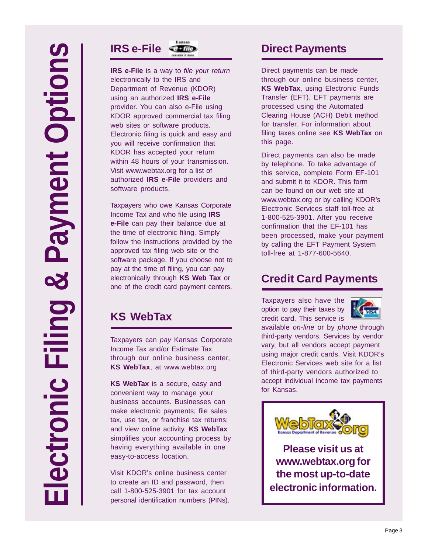

**IRS e-File** is a way to *file your return*  electronically to the IRS and Department of Revenue (KDOR) using an authorized **IRS e-File**  provider. You can also e-File using KDOR approved commercial tax filing web sites or software products. Electronic filing is quick and easy and you will receive confirmation that KDOR has accepted your return within 48 hours of your transmission. Visit www.webtax.org for a list of authorized **IRS e-File** providers and software products.

Taxpayers who owe Kansas Corporate Income Tax and who file using **IRS e-File** can pay their balance due at the time of electronic filing. Simply follow the instructions provided by the approved tax filing web site or the software package. If you choose not to pay at the time of filing, you can pay electronically through **KS Web Tax** or one of the credit card payment centers.

## **KS WebTax**

Taxpayers can *pay* Kansas Corporate Income Tax and/or Estimate Tax through our online business center, **KS WebTax**, at www.webtax.org

**KS WebTax** is a secure, easy and convenient way to manage your business accounts. Businesses can make electronic payments; file sales tax, use tax, or franchise tax returns; and view online activity. **KS WebTax**  simplifies your accounting process by having everything available in one easy-to-access location.

Visit KDOR's online business center to create an ID and password, then call 1-800-525-3901 for tax account personal identification numbers (PINs).

## **Direct Payments**

Direct payments can be made through our online business center, **KS WebTax**, using Electronic Funds Transfer (EFT). EFT payments are processed using the Automated Clearing House (ACH) Debit method for transfer. For information about filing taxes online see **KS WebTax** on this page.

Direct payments can also be made by telephone. To take advantage of this service, complete Form EF-101 and submit it to KDOR. This form can be found on our web site at www.webtax.org or by calling KDOR's Electronic Services staff toll-free at 1-800-525-3901. After you receive confirmation that the EF-101 has been processed, make your payment by calling the EFT Payment System toll-free at 1-877-600-5640.

## **Credit Card Payments**

Taxpayers also have the option to pay their taxes by credit card. This service is



available *on-line* or by *phone* through third-party vendors. Services by vendor vary, but all vendors accept payment using major credit cards. Visit KDOR's Electronic Services web site for a list of third-party vendors authorized to accept individual income tax payments for Kansas.



**Please visit us at www.webtax.org for the most up-to-date electronic information.**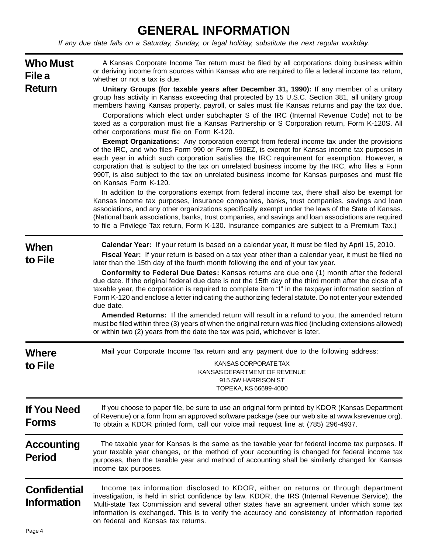## **GENERAL INFORMATION**

*If any due date falls on a Saturday, Sunday, or legal holiday, substitute the next regular workday.* 

| <b>Who Must</b><br>File a                 | A Kansas Corporate Income Tax return must be filed by all corporations doing business within<br>or deriving income from sources within Kansas who are required to file a federal income tax return,<br>whether or not a tax is due.                                                                                                                                                                                                                                                                                                                                                                                                                                                                                        |
|-------------------------------------------|----------------------------------------------------------------------------------------------------------------------------------------------------------------------------------------------------------------------------------------------------------------------------------------------------------------------------------------------------------------------------------------------------------------------------------------------------------------------------------------------------------------------------------------------------------------------------------------------------------------------------------------------------------------------------------------------------------------------------|
| <b>Return</b>                             | Unitary Groups (for taxable years after December 31, 1990): If any member of a unitary<br>group has activity in Kansas exceeding that protected by 15 U.S.C. Section 381, all unitary group<br>members having Kansas property, payroll, or sales must file Kansas returns and pay the tax due.                                                                                                                                                                                                                                                                                                                                                                                                                             |
|                                           | Corporations which elect under subchapter S of the IRC (Internal Revenue Code) not to be<br>taxed as a corporation must file a Kansas Partnership or S Corporation return, Form K-120S. All<br>other corporations must file on Form K-120.                                                                                                                                                                                                                                                                                                                                                                                                                                                                                 |
|                                           | <b>Exempt Organizations:</b> Any corporation exempt from federal income tax under the provisions<br>of the IRC, and who files Form 990 or Form 990EZ, is exempt for Kansas income tax purposes in<br>each year in which such corporation satisfies the IRC requirement for exemption. However, a<br>corporation that is subject to the tax on unrelated business income by the IRC, who files a Form<br>990T, is also subject to the tax on unrelated business income for Kansas purposes and must file<br>on Kansas Form K-120.                                                                                                                                                                                           |
|                                           | In addition to the corporations exempt from federal income tax, there shall also be exempt for<br>Kansas income tax purposes, insurance companies, banks, trust companies, savings and loan<br>associations, and any other organizations specifically exempt under the laws of the State of Kansas.<br>(National bank associations, banks, trust companies, and savings and loan associations are required<br>to file a Privilege Tax return, Form K-130. Insurance companies are subject to a Premium Tax.)                                                                                                                                                                                                               |
| When<br>to File                           | Calendar Year: If your return is based on a calendar year, it must be filed by April 15, 2010.<br>Fiscal Year: If your return is based on a tax year other than a calendar year, it must be filed no<br>later than the 15th day of the fourth month following the end of your tax year.                                                                                                                                                                                                                                                                                                                                                                                                                                    |
|                                           | Conformity to Federal Due Dates: Kansas returns are due one (1) month after the federal<br>due date. If the original federal due date is not the 15th day of the third month after the close of a<br>taxable year, the corporation is required to complete item "I" in the taxpayer information section of<br>Form K-120 and enclose a letter indicating the authorizing federal statute. Do not enter your extended<br>due date.<br>Amended Returns: If the amended return will result in a refund to you, the amended return<br>must be filed within three (3) years of when the original return was filed (including extensions allowed)<br>or within two (2) years from the date the tax was paid, whichever is later. |
| <b>Where</b>                              | Mail your Corporate Income Tax return and any payment due to the following address:                                                                                                                                                                                                                                                                                                                                                                                                                                                                                                                                                                                                                                        |
| to File                                   | KANSAS CORPORATE TAX<br>KANSAS DEPARTMENT OF REVENUE<br>915 SW HARRISON ST<br>TOPEKA, KS 66699-4000                                                                                                                                                                                                                                                                                                                                                                                                                                                                                                                                                                                                                        |
| <b>If You Need</b><br><b>Forms</b>        | If you choose to paper file, be sure to use an original form printed by KDOR (Kansas Department<br>of Revenue) or a form from an approved software package (see our web site at www.ksrevenue.org).<br>To obtain a KDOR printed form, call our voice mail request line at (785) 296-4937.                                                                                                                                                                                                                                                                                                                                                                                                                                  |
| <b>Accounting</b><br><b>Period</b>        | The taxable year for Kansas is the same as the taxable year for federal income tax purposes. If<br>your taxable year changes, or the method of your accounting is changed for federal income tax<br>purposes, then the taxable year and method of accounting shall be similarly changed for Kansas<br>income tax purposes.                                                                                                                                                                                                                                                                                                                                                                                                 |
| <b>Confidential</b><br><b>Information</b> | Income tax information disclosed to KDOR, either on returns or through department<br>investigation, is held in strict confidence by law. KDOR, the IRS (Internal Revenue Service), the<br>Multi-state Tax Commission and several other states have an agreement under which some tax<br>information is exchanged. This is to verify the accuracy and consistency of information reported<br>on federal and Kansas tax returns.                                                                                                                                                                                                                                                                                             |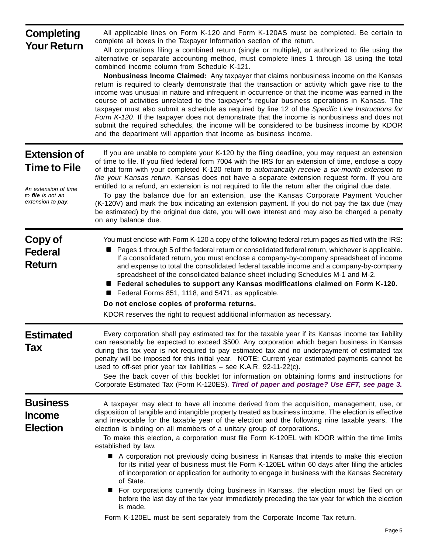## **Completing Your Return**

All applicable lines on Form K-120 and Form K-120AS must be completed. Be certain to complete all boxes in the Taxpayer Information section of the return.

All corporations filing a combined return (single or multiple), or authorized to file using the alternative or separate accounting method, must complete lines 1 through 18 using the total combined income column from Schedule K-121.

 **Nonbusiness Income Claimed:** Any taxpayer that claims nonbusiness income on the Kansas return is required to clearly demonstrate that the transaction or activity which gave rise to the income was unusual in nature and infrequent in occurrence or that the income was earned in the course of activities unrelated to the taxpayer's regular business operations in Kansas. The taxpayer must also submit a schedule as required by line 12 of the *Specific Line Instructions for Form K-120*. If the taxpayer does not demonstrate that the income is nonbusiness and does not submit the required schedules, the income will be considered to be business income by KDOR and the department will apportion that income as business income.

## **Extension of Time to File**

*An extension of time to file is not an extension to pay.* 

If you are unable to complete your K-120 by the filing deadline, you may request an extension of time to file. If you filed federal form 7004 with the IRS for an extension of time, enclose a copy of that form with your completed K-120 return *to automatically receive a six-month extension to file your Kansas return*. Kansas does not have a separate extension request form. If you are entitled to a refund, an extension is not required to file the return after the original due date.

To pay the balance due for an extension, use the Kansas Corporate Payment Voucher (K-120V) and mark the box indicating an extension payment. If you do not pay the tax due (may be estimated) by the original due date, you will owe interest and may also be charged a penalty on any balance due.

| Copy of<br><b>Federal</b><br><b>Return</b>   | You must enclose with Form K-120 a copy of the following federal return pages as filed with the IRS:<br>Pages 1 through 5 of the federal return or consolidated federal return, whichever is applicable.<br>If a consolidated return, you must enclose a company-by-company spreadsheet of income<br>and expense to total the consolidated federal taxable income and a company-by-company<br>spreadsheet of the consolidated balance sheet including Schedules M-1 and M-2.<br>Federal schedules to support any Kansas modifications claimed on Form K-120.<br>Federal Forms 851, 1118, and 5471, as applicable.<br>Do not enclose copies of proforma returns.<br>KDOR reserves the right to request additional information as necessary.                                                                                                                                                                                                                                                                                                                                                              |
|----------------------------------------------|---------------------------------------------------------------------------------------------------------------------------------------------------------------------------------------------------------------------------------------------------------------------------------------------------------------------------------------------------------------------------------------------------------------------------------------------------------------------------------------------------------------------------------------------------------------------------------------------------------------------------------------------------------------------------------------------------------------------------------------------------------------------------------------------------------------------------------------------------------------------------------------------------------------------------------------------------------------------------------------------------------------------------------------------------------------------------------------------------------|
| <b>Estimated</b><br>Tax                      | Every corporation shall pay estimated tax for the taxable year if its Kansas income tax liability<br>can reasonably be expected to exceed \$500. Any corporation which began business in Kansas<br>during this tax year is not required to pay estimated tax and no underpayment of estimated tax<br>penalty will be imposed for this initial year. NOTE: Current year estimated payments cannot be<br>used to off-set prior year tax liabilities - see K.A.R. 92-11-22(c).<br>See the back cover of this booklet for information on obtaining forms and instructions for<br>Corporate Estimated Tax (Form K-120ES). Tired of paper and postage? Use EFT, see page 3.                                                                                                                                                                                                                                                                                                                                                                                                                                   |
| <b>Business</b><br>Income<br><b>Election</b> | A taxpayer may elect to have all income derived from the acquisition, management, use, or<br>disposition of tangible and intangible property treated as business income. The election is effective<br>and irrevocable for the taxable year of the election and the following nine taxable years. The<br>election is binding on all members of a unitary group of corporations.<br>To make this election, a corporation must file Form K-120EL with KDOR within the time limits<br>established by law.<br>A corporation not previously doing business in Kansas that intends to make this election<br>for its initial year of business must file Form K-120EL within 60 days after filing the articles<br>of incorporation or application for authority to engage in business with the Kansas Secretary<br>of State.<br>For corporations currently doing business in Kansas, the election must be filed on or<br>before the last day of the tax year immediately preceding the tax year for which the election<br>is made.<br>Form K-120EL must be sent separately from the Corporate Income Tax return. |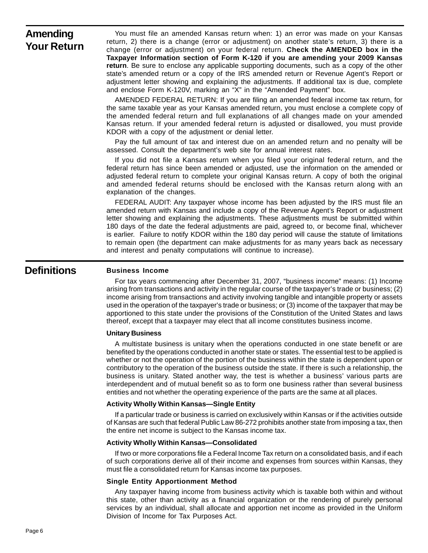## **Amending Your Return**

You must file an amended Kansas return when: 1) an error was made on your Kansas return, 2) there is a change (error or adjustment) on another state's return, 3) there is a change (error or adjustment) on your federal return. **Check the AMENDED box in the Taxpayer Information section of Form K-120 if you are amending your 2009 Kansas return**. Be sure to enclose any applicable supporting documents, such as a copy of the other state's amended return or a copy of the IRS amended return or Revenue Agent's Report or adjustment letter showing and explaining the adjustments. If additional tax is due, complete and enclose Form K-120V, marking an "X" in the "Amended Payment" box.

AMENDED FEDERAL RETURN: If you are filing an amended federal income tax return, for the same taxable year as your Kansas amended return, you must enclose a complete copy of the amended federal return and full explanations of all changes made on your amended Kansas return. If your amended federal return is adjusted or disallowed, you must provide KDOR with a copy of the adjustment or denial letter.

Pay the full amount of tax and interest due on an amended return and no penalty will be assessed. Consult the department's web site for annual interest rates.

If you did not file a Kansas return when you filed your original federal return, and the federal return has since been amended or adjusted, use the information on the amended or adjusted federal return to complete your original Kansas return. A copy of both the original and amended federal returns should be enclosed with the Kansas return along with an explanation of the changes.

 FEDERAL AUDIT: Any taxpayer whose income has been adjusted by the IRS must file an amended return with Kansas and include a copy of the Revenue Agent's Report or adjustment letter showing and explaining the adjustments. These adjustments must be submitted within 180 days of the date the federal adjustments are paid, agreed to, or become final, whichever is earlier. Failure to notify KDOR within the 180 day period will cause the statute of limitations to remain open (the department can make adjustments for as many years back as necessary and interest and penalty computations will continue to increase).

#### **Definitions**

#### **Business Income**

For tax years commencing after December 31, 2007, "business income" means: (1) Income arising from transactions and activity in the regular course of the taxpayer's trade or business; (2) income arising from transactions and activity involving tangible and intangible property or assets used in the operation of the taxpayer's trade or business; or (3) income of the taxpayer that may be apportioned to this state under the provisions of the Constitution of the United States and laws thereof, except that a taxpayer may elect that all income constitutes business income.

#### **Unitary Business**

A multistate business is unitary when the operations conducted in one state benefit or are benefited by the operations conducted in another state or states. The essential test to be applied is whether or not the operation of the portion of the business within the state is dependent upon or contributory to the operation of the business outside the state. If there is such a relationship, the business is unitary. Stated another way, the test is whether a business' various parts are interdependent and of mutual benefit so as to form one business rather than several business entities and not whether the operating experience of the parts are the same at all places.

#### **Activity Wholly Within Kansas—Single Entity**

If a particular trade or business is carried on exclusively within Kansas or if the activities outside of Kansas are such that federal Public Law 86-272 prohibits another state from imposing a tax, then the entire net income is subject to the Kansas income tax.

#### **Activity Wholly Within Kansas—Consolidated**

If two or more corporations file a Federal Income Tax return on a consolidated basis, and if each of such corporations derive all of their income and expenses from sources within Kansas, they must file a consolidated return for Kansas income tax purposes.

#### **Single Entity Apportionment Method**

Any taxpayer having income from business activity which is taxable both within and without this state, other than activity as a financial organization or the rendering of purely personal services by an individual, shall allocate and apportion net income as provided in the Uniform Division of Income for Tax Purposes Act.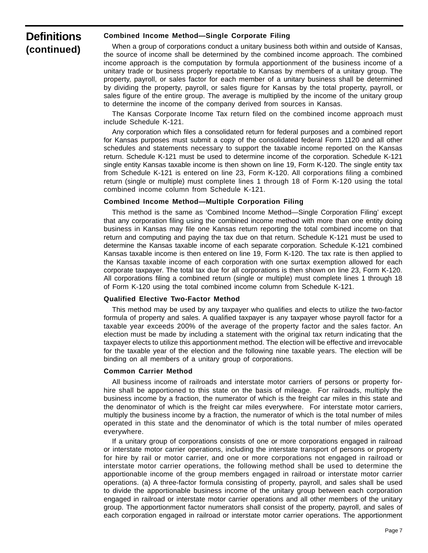## **Definitions (continued)**

#### **Combined Income Method—Single Corporate Filing**

When a group of corporations conduct a unitary business both within and outside of Kansas, the source of income shall be determined by the combined income approach. The combined income approach is the computation by formula apportionment of the business income of a unitary trade or business properly reportable to Kansas by members of a unitary group. The property, payroll, or sales factor for each member of a unitary business shall be determined by dividing the property, payroll, or sales figure for Kansas by the total property, payroll, or sales figure of the entire group. The average is multiplied by the income of the unitary group to determine the income of the company derived from sources in Kansas.

The Kansas Corporate Income Tax return filed on the combined income approach must include Schedule K-121.

Any corporation which files a consolidated return for federal purposes and a combined report for Kansas purposes must submit a copy of the consolidated federal Form 1120 and all other schedules and statements necessary to support the taxable income reported on the Kansas return. Schedule K-121 must be used to determine income of the corporation. Schedule K-121 single entity Kansas taxable income is then shown on line 19, Form K-120. The single entity tax from Schedule K-121 is entered on line 23, Form K-120. All corporations filing a combined return (single or multiple) must complete lines 1 through 18 of Form K-120 using the total combined income column from Schedule K-121.

#### **Combined Income Method—Multiple Corporation Filing**

This method is the same as 'Combined Income Method—Single Corporation Filing' except that any corporation filing using the combined income method with more than one entity doing business in Kansas may file one Kansas return reporting the total combined income on that return and computing and paying the tax due on that return. Schedule K-121 must be used to determine the Kansas taxable income of each separate corporation. Schedule K-121 combined Kansas taxable income is then entered on line 19, Form K-120. The tax rate is then applied to the Kansas taxable income of each corporation with one surtax exemption allowed for each corporate taxpayer. The total tax due for all corporations is then shown on line 23, Form K-120. All corporations filing a combined return (single or multiple) must complete lines 1 through 18 of Form K-120 using the total combined income column from Schedule K-121.

#### **Qualified Elective Two-Factor Method**

This method may be used by any taxpayer who qualifies and elects to utilize the two-factor formula of property and sales. A qualified taxpayer is any taxpayer whose payroll factor for a taxable year exceeds 200% of the average of the property factor and the sales factor. An election must be made by including a statement with the original tax return indicating that the taxpayer elects to utilize this apportionment method. The election will be effective and irrevocable for the taxable year of the election and the following nine taxable years. The election will be binding on all members of a unitary group of corporations.

#### **Common Carrier Method**

All business income of railroads and interstate motor carriers of persons or property forhire shall be apportioned to this state on the basis of mileage. For railroads, multiply the business income by a fraction, the numerator of which is the freight car miles in this state and the denominator of which is the freight car miles everywhere. For interstate motor carriers, multiply the business income by a fraction, the numerator of which is the total number of miles operated in this state and the denominator of which is the total number of miles operated everywhere.

If a unitary group of corporations consists of one or more corporations engaged in railroad or interstate motor carrier operations, including the interstate transport of persons or property for hire by rail or motor carrier, and one or more corporations not engaged in railroad or interstate motor carrier operations, the following method shall be used to determine the apportionable income of the group members engaged in railroad or interstate motor carrier operations. (a) A three-factor formula consisting of property, payroll, and sales shall be used to divide the apportionable business income of the unitary group between each corporation engaged in railroad or interstate motor carrier operations and all other members of the unitary group. The apportionment factor numerators shall consist of the property, payroll, and sales of each corporation engaged in railroad or interstate motor carrier operations. The apportionment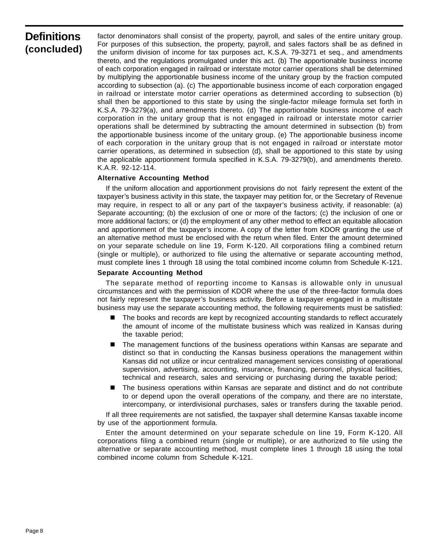## **Definitions (concluded)**

factor denominators shall consist of the property, payroll, and sales of the entire unitary group. For purposes of this subsection, the property, payroll, and sales factors shall be as defined in the uniform division of income for tax purposes act, K.S.A. 79-3271 et seq., and amendments thereto, and the regulations promulgated under this act. (b) The apportionable business income of each corporation engaged in railroad or interstate motor carrier operations shall be determined by multiplying the apportionable business income of the unitary group by the fraction computed according to subsection (a). (c) The apportionable business income of each corporation engaged in railroad or interstate motor carrier operations as determined according to subsection (b) shall then be apportioned to this state by using the single-factor mileage formula set forth in K.S.A. 79-3279(a), and amendments thereto. (d) The apportionable business income of each corporation in the unitary group that is not engaged in railroad or interstate motor carrier operations shall be determined by subtracting the amount determined in subsection (b) from the apportionable business income of the unitary group. (e) The apportionable business income of each corporation in the unitary group that is not engaged in railroad or interstate motor carrier operations, as determined in subsection (d), shall be apportioned to this state by using the applicable apportionment formula specified in K.S.A. 79-3279(b), and amendments thereto. K.A.R. 92-12-114.

#### **Alternative Accounting Method**

If the uniform allocation and apportionment provisions do not fairly represent the extent of the taxpayer's business activity in this state, the taxpayer may petition for, or the Secretary of Revenue may require, in respect to all or any part of the taxpayer's business activity, if reasonable: (a) Separate accounting; (b) the exclusion of one or more of the factors; (c) the inclusion of one or more additional factors; or (d) the employment of any other method to effect an equitable allocation and apportionment of the taxpayer's income. A copy of the letter from KDOR granting the use of an alternative method must be enclosed with the return when filed. Enter the amount determined on your separate schedule on line 19, Form K-120. All corporations filing a combined return (single or multiple), or authorized to file using the alternative or separate accounting method, must complete lines 1 through 18 using the total combined income column from Schedule K-121.

#### **Separate Accounting Method**

The separate method of reporting income to Kansas is allowable only in unusual circumstances and with the permission of KDOR where the use of the three-factor formula does not fairly represent the taxpayer's business activity. Before a taxpayer engaged in a multistate business may use the separate accounting method, the following requirements must be satisfied:

- **The books and records are kept by recognized accounting standards to reflect accurately** the amount of income of the multistate business which was realized in Kansas during the taxable period;
- The management functions of the business operations within Kansas are separate and distinct so that in conducting the Kansas business operations the management within Kansas did not utilize or incur centralized management services consisting of operational supervision, advertising, accounting, insurance, financing, personnel, physical facilities, technical and research, sales and servicing or purchasing during the taxable period;
- The business operations within Kansas are separate and distinct and do not contribute to or depend upon the overall operations of the company, and there are no interstate, intercompany, or interdivisional purchases, sales or transfers during the taxable period.

If all three requirements are not satisfied, the taxpayer shall determine Kansas taxable income by use of the apportionment formula.

Enter the amount determined on your separate schedule on line 19, Form K-120. All corporations filing a combined return (single or multiple), or are authorized to file using the alternative or separate accounting method, must complete lines 1 through 18 using the total combined income column from Schedule K-121.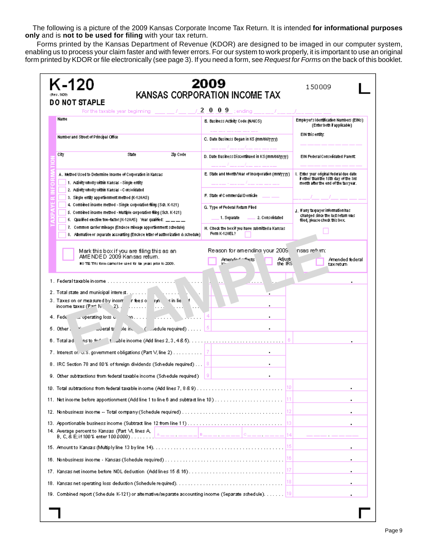The following is a picture of the 2009 Kansas Corporate Income Tax Return. It is intended **for informational purposes only** and is **not to be used for filing** with your tax return.

Forms printed by the Kansas Department of Revenue (KDOR) are designed to be imaged in our computer system, enabling us to process your claim faster and with fewer errors. For our system to work properly, it is important to use an original form printed by KDOR or file electronically (see page 3). If you need a form, see *Request for Forms* on the back of this booklet.

| K-120<br>DO NOT STAPLE                                                                                                                                                                                                                                                                                                                                                                                                                      | 2009<br>KANSAS CORPORATION INCOME TAX                                | 150009                                                                                                                  |
|---------------------------------------------------------------------------------------------------------------------------------------------------------------------------------------------------------------------------------------------------------------------------------------------------------------------------------------------------------------------------------------------------------------------------------------------|----------------------------------------------------------------------|-------------------------------------------------------------------------------------------------------------------------|
| For the taxable year beginning $\frac{1}{2}$ $\frac{1}{2}$ $\frac{1}{2}$ $\frac{1}{2}$ $\frac{0}{0}$ $\frac{9}{2}$ ; ending $\frac{1}{2}$                                                                                                                                                                                                                                                                                                   |                                                                      |                                                                                                                         |
| Name                                                                                                                                                                                                                                                                                                                                                                                                                                        | B. Business Activity Code (NAICS).                                   | Employer's identification Numbers (EINs).<br>(Enter both if applicable)                                                 |
|                                                                                                                                                                                                                                                                                                                                                                                                                                             |                                                                      | EIN this entity.                                                                                                        |
| Number and Street of Principal Office                                                                                                                                                                                                                                                                                                                                                                                                       | C. Date Business Began in KS (mm/dd/yyyy).                           |                                                                                                                         |
| Zip Code<br>City<br><b>State</b>                                                                                                                                                                                                                                                                                                                                                                                                            | D. Date Business Discontinued in KS (mm/dd/yyyy).                    | <b>EIN Federal Consolidated Parent:</b>                                                                                 |
| A . Method Used to Determine Income of Corporation in Kansas.<br>1. Adduity wholly within Kansas - Single entity                                                                                                                                                                                                                                                                                                                            | E. State and Month/Year of Incorporation (mm/yyyy).                  | l. Enter your original federal due date<br>if other than the 15th day of the 3rd<br>month after the end of the taxyear. |
| 2. Activity wholly within Kansas - Consolidated<br>3. Single entity apportionment method (K-120AS).                                                                                                                                                                                                                                                                                                                                         | F. State of Commercial Domicile                                      |                                                                                                                         |
| 4. Combined income method - Single corporation filing (Sch. K-121).                                                                                                                                                                                                                                                                                                                                                                         | G. Type of Federal Return Filed                                      | ј, if any taxpayer information has i                                                                                    |
| 5. Combined income method - Multiple corporation fling (Sch. K-121).<br>6. Qualified elective two-factor (K-120.45) Vear qualified: $\frac{1}{1-\frac{1}{2-\frac{1}{2-\frac{1}{2-\frac{1}{2-\frac{1}{2-\frac{1}{2-\frac{1}{2-\frac{1}{2-\frac{1}{2-\frac{1}{2-\frac{1}{2-\frac{1}{2-\frac{1}{2-\frac{1}{2-\frac{1}{2-\frac{1}{2-\frac{1}{2-\frac{1}{2-\frac{1}{2-\frac{1}{2-\frac{1}{2-\frac{1}{2-\frac{1}{2-\frac{1}{2-\frac{1}{2-\frac{1$ | 2. Consolidated<br>1. Separate                                       | changed since the last return was l<br>filed, please check this box.                                                    |
| 7. Common carrier mileage (Enclose mileage apportionment schedule).<br>8. Alternative or separate accounting (Enclose letter of authorization & schedule)                                                                                                                                                                                                                                                                                   | H. Check the boxif you have submitted a Kansas.<br>Form K-120EL?     |                                                                                                                         |
| Mark this box if you are filing this as an<br>AME NDE D-2009 Kansas return.<br>NO TE This form carriel be used for lax years prior to 2009.                                                                                                                                                                                                                                                                                                 | Reason for amendin≅ your 2009<br>Adjustri<br>Amer 1<br>া≤<br>the IRS | nsas re* im:<br>Amended federal<br>taxretum                                                                             |
| 2. Total state and municipal interest.<br>3. Taxes on or measured hy incorportees of the sin lie.<br>income taxes $(P \cap N, P)$ .<br>.<br>.<br>4. Fede<br>er operating loss o.<br>fondation of the control                                                                                                                                                                                                                                |                                                                      |                                                                                                                         |
| 5. Other:                                                                                                                                                                                                                                                                                                                                                                                                                                   |                                                                      |                                                                                                                         |
|                                                                                                                                                                                                                                                                                                                                                                                                                                             |                                                                      |                                                                                                                         |
|                                                                                                                                                                                                                                                                                                                                                                                                                                             |                                                                      |                                                                                                                         |
| 8. IRC Section 78 and 80% of foreign dividends (Schedule required) $\ 8\ $                                                                                                                                                                                                                                                                                                                                                                  |                                                                      |                                                                                                                         |
| 9. Other subtractions from federal taxable income (Schedule required)                                                                                                                                                                                                                                                                                                                                                                       | 91<br>$\blacksquare$                                                 |                                                                                                                         |
|                                                                                                                                                                                                                                                                                                                                                                                                                                             |                                                                      | ٠                                                                                                                       |
|                                                                                                                                                                                                                                                                                                                                                                                                                                             |                                                                      | $\blacksquare$                                                                                                          |
|                                                                                                                                                                                                                                                                                                                                                                                                                                             |                                                                      | $\cdot$                                                                                                                 |
|                                                                                                                                                                                                                                                                                                                                                                                                                                             |                                                                      |                                                                                                                         |
| 14. Average percent to Kansas (Part M, lines A,<br>8, C, & E; if 100 % enter 100 0000) <u>  A _ _ _ . _ _ _   B _ _ _ .</u> _ _ _ _   C _ _ _ . _ _ _  14                                                                                                                                                                                                                                                                                   |                                                                      |                                                                                                                         |
|                                                                                                                                                                                                                                                                                                                                                                                                                                             |                                                                      | ٠                                                                                                                       |
|                                                                                                                                                                                                                                                                                                                                                                                                                                             |                                                                      | $\blacksquare$                                                                                                          |
|                                                                                                                                                                                                                                                                                                                                                                                                                                             |                                                                      | $\cdot$                                                                                                                 |
|                                                                                                                                                                                                                                                                                                                                                                                                                                             |                                                                      | $\blacksquare$                                                                                                          |
| 19. Combined report (Schedule K-121) or alternative/separate accounting income (Separate schedule). 19                                                                                                                                                                                                                                                                                                                                      |                                                                      |                                                                                                                         |
|                                                                                                                                                                                                                                                                                                                                                                                                                                             |                                                                      |                                                                                                                         |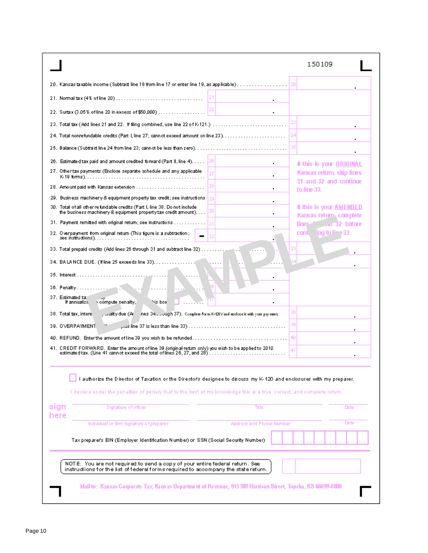| [[20] Kansas taxable income (Subtract line 18 from line 17 or enter line 19, as applicable).<br>20<br>$\blacksquare$<br>24<br>25<br>If this is your ORIGINAL<br>$\blacksquare$<br>Kansas return, skip lines<br>٠<br>31 and 32 and continue<br>28<br>to line 33.<br>٠<br>130<br>the business machinery & equipment property tax credit amount).<br>٠<br>Kansas returns complete<br>line.<br>and 32 before<br>na te-<br>conti l<br>$-10$<br>compute penalty,<br>Nis box<br>If annualizi)<br>38<br>penalty due (Ar<br>nes 3s  Jugh 37). Complete Form K-120V and enclose it with your payment.<br>38. Total tax, intere.<br>39<br>39. OVERPAYMENT<br>40<br>41. CREDIT FORWARD. Enter the amount of line 39 (original return only) you wish to be applied to 2010<br>41<br>authorize the Director of Taxation or the Director's designee to discuss my K-120 and enclosures with my preparer.<br>I declare under the penalties of perjury that to the best of my knowledge this is a true, correct, and complete return.<br>Signature of officer<br>Title<br>Date<br>here<br>Date<br>Address and Phone Number<br>Individual or firm signature of preparer<br>Tax preparer's EIN (Employer Identification Number) or SSN (Social Security Number).<br>NOTE: You are not required to send a copy of your entire federal return. See<br>instructions for the list of federal forms required to accompany the state return. |                                                                                           | 150109                  |
|---------------------------------------------------------------------------------------------------------------------------------------------------------------------------------------------------------------------------------------------------------------------------------------------------------------------------------------------------------------------------------------------------------------------------------------------------------------------------------------------------------------------------------------------------------------------------------------------------------------------------------------------------------------------------------------------------------------------------------------------------------------------------------------------------------------------------------------------------------------------------------------------------------------------------------------------------------------------------------------------------------------------------------------------------------------------------------------------------------------------------------------------------------------------------------------------------------------------------------------------------------------------------------------------------------------------------------------------------------------------------------------------------------------------|-------------------------------------------------------------------------------------------|-------------------------|
|                                                                                                                                                                                                                                                                                                                                                                                                                                                                                                                                                                                                                                                                                                                                                                                                                                                                                                                                                                                                                                                                                                                                                                                                                                                                                                                                                                                                                     |                                                                                           |                         |
|                                                                                                                                                                                                                                                                                                                                                                                                                                                                                                                                                                                                                                                                                                                                                                                                                                                                                                                                                                                                                                                                                                                                                                                                                                                                                                                                                                                                                     |                                                                                           |                         |
|                                                                                                                                                                                                                                                                                                                                                                                                                                                                                                                                                                                                                                                                                                                                                                                                                                                                                                                                                                                                                                                                                                                                                                                                                                                                                                                                                                                                                     |                                                                                           |                         |
|                                                                                                                                                                                                                                                                                                                                                                                                                                                                                                                                                                                                                                                                                                                                                                                                                                                                                                                                                                                                                                                                                                                                                                                                                                                                                                                                                                                                                     |                                                                                           |                         |
|                                                                                                                                                                                                                                                                                                                                                                                                                                                                                                                                                                                                                                                                                                                                                                                                                                                                                                                                                                                                                                                                                                                                                                                                                                                                                                                                                                                                                     |                                                                                           |                         |
|                                                                                                                                                                                                                                                                                                                                                                                                                                                                                                                                                                                                                                                                                                                                                                                                                                                                                                                                                                                                                                                                                                                                                                                                                                                                                                                                                                                                                     |                                                                                           |                         |
|                                                                                                                                                                                                                                                                                                                                                                                                                                                                                                                                                                                                                                                                                                                                                                                                                                                                                                                                                                                                                                                                                                                                                                                                                                                                                                                                                                                                                     | 26. Estimate ditax paid and amount credited forward (Part II, line 4)                     |                         |
|                                                                                                                                                                                                                                                                                                                                                                                                                                                                                                                                                                                                                                                                                                                                                                                                                                                                                                                                                                                                                                                                                                                                                                                                                                                                                                                                                                                                                     | 27. Other tax payments (Enclose separate schedule and any applicable                      |                         |
|                                                                                                                                                                                                                                                                                                                                                                                                                                                                                                                                                                                                                                                                                                                                                                                                                                                                                                                                                                                                                                                                                                                                                                                                                                                                                                                                                                                                                     |                                                                                           |                         |
|                                                                                                                                                                                                                                                                                                                                                                                                                                                                                                                                                                                                                                                                                                                                                                                                                                                                                                                                                                                                                                                                                                                                                                                                                                                                                                                                                                                                                     | 29. Business machinery & equipment property tax credit; see instructions $\parallel_{29}$ |                         |
|                                                                                                                                                                                                                                                                                                                                                                                                                                                                                                                                                                                                                                                                                                                                                                                                                                                                                                                                                                                                                                                                                                                                                                                                                                                                                                                                                                                                                     | 30. Total of all other refundable credits (Part I, line 38. Do not include                | If this is your AMENDED |
|                                                                                                                                                                                                                                                                                                                                                                                                                                                                                                                                                                                                                                                                                                                                                                                                                                                                                                                                                                                                                                                                                                                                                                                                                                                                                                                                                                                                                     | 31. Payment remitted with original return; see instructions                               |                         |
|                                                                                                                                                                                                                                                                                                                                                                                                                                                                                                                                                                                                                                                                                                                                                                                                                                                                                                                                                                                                                                                                                                                                                                                                                                                                                                                                                                                                                     | 32. Overpayment from original return (This figure is a subtraction;                       |                         |
|                                                                                                                                                                                                                                                                                                                                                                                                                                                                                                                                                                                                                                                                                                                                                                                                                                                                                                                                                                                                                                                                                                                                                                                                                                                                                                                                                                                                                     | 33. Total prepaid credits (Add lines 26 through 31 and subtract line 32)                  |                         |
|                                                                                                                                                                                                                                                                                                                                                                                                                                                                                                                                                                                                                                                                                                                                                                                                                                                                                                                                                                                                                                                                                                                                                                                                                                                                                                                                                                                                                     | 34. BA LANCE DUE. (If line 25 exceeds line 33).                                           |                         |
|                                                                                                                                                                                                                                                                                                                                                                                                                                                                                                                                                                                                                                                                                                                                                                                                                                                                                                                                                                                                                                                                                                                                                                                                                                                                                                                                                                                                                     |                                                                                           |                         |
|                                                                                                                                                                                                                                                                                                                                                                                                                                                                                                                                                                                                                                                                                                                                                                                                                                                                                                                                                                                                                                                                                                                                                                                                                                                                                                                                                                                                                     |                                                                                           |                         |
|                                                                                                                                                                                                                                                                                                                                                                                                                                                                                                                                                                                                                                                                                                                                                                                                                                                                                                                                                                                                                                                                                                                                                                                                                                                                                                                                                                                                                     | 37. Estimated tal                                                                         |                         |
|                                                                                                                                                                                                                                                                                                                                                                                                                                                                                                                                                                                                                                                                                                                                                                                                                                                                                                                                                                                                                                                                                                                                                                                                                                                                                                                                                                                                                     |                                                                                           |                         |
|                                                                                                                                                                                                                                                                                                                                                                                                                                                                                                                                                                                                                                                                                                                                                                                                                                                                                                                                                                                                                                                                                                                                                                                                                                                                                                                                                                                                                     |                                                                                           |                         |
|                                                                                                                                                                                                                                                                                                                                                                                                                                                                                                                                                                                                                                                                                                                                                                                                                                                                                                                                                                                                                                                                                                                                                                                                                                                                                                                                                                                                                     |                                                                                           |                         |
|                                                                                                                                                                                                                                                                                                                                                                                                                                                                                                                                                                                                                                                                                                                                                                                                                                                                                                                                                                                                                                                                                                                                                                                                                                                                                                                                                                                                                     |                                                                                           |                         |
|                                                                                                                                                                                                                                                                                                                                                                                                                                                                                                                                                                                                                                                                                                                                                                                                                                                                                                                                                                                                                                                                                                                                                                                                                                                                                                                                                                                                                     |                                                                                           |                         |
|                                                                                                                                                                                                                                                                                                                                                                                                                                                                                                                                                                                                                                                                                                                                                                                                                                                                                                                                                                                                                                                                                                                                                                                                                                                                                                                                                                                                                     | sign                                                                                      |                         |
|                                                                                                                                                                                                                                                                                                                                                                                                                                                                                                                                                                                                                                                                                                                                                                                                                                                                                                                                                                                                                                                                                                                                                                                                                                                                                                                                                                                                                     |                                                                                           |                         |
|                                                                                                                                                                                                                                                                                                                                                                                                                                                                                                                                                                                                                                                                                                                                                                                                                                                                                                                                                                                                                                                                                                                                                                                                                                                                                                                                                                                                                     |                                                                                           |                         |
|                                                                                                                                                                                                                                                                                                                                                                                                                                                                                                                                                                                                                                                                                                                                                                                                                                                                                                                                                                                                                                                                                                                                                                                                                                                                                                                                                                                                                     |                                                                                           |                         |
| Mail to: Kansas Corporate Tax, Kansas Department of Revenue, 915 SW Harrison Street, Topeka, KS 66699-4000                                                                                                                                                                                                                                                                                                                                                                                                                                                                                                                                                                                                                                                                                                                                                                                                                                                                                                                                                                                                                                                                                                                                                                                                                                                                                                          |                                                                                           |                         |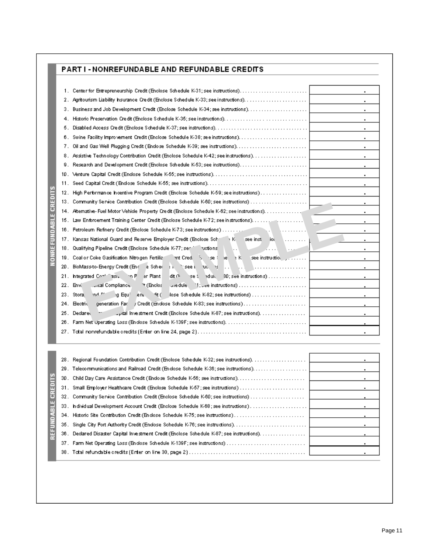| <b>PART I - NONREFUNDABLE AND REFUNDABLE CREDITS</b> |  |
|------------------------------------------------------|--|
|                                                      |  |

**NONREFUNDABLE CREDITS** 

REFUNDABLE CREDITS

| 2.<br>З.<br>4.<br>5.<br>6.<br>7.<br>Assistive Technology Contribution Credit (Enclose Schedule K-42; see instructions).<br>8. | ٠<br>٠<br>٠<br>٠<br>٠<br>٠<br>٠<br>٠<br>٠<br>٠<br>٠<br>٠<br>٠<br>٠ |
|-------------------------------------------------------------------------------------------------------------------------------|--------------------------------------------------------------------|
|                                                                                                                               |                                                                    |
|                                                                                                                               |                                                                    |
|                                                                                                                               |                                                                    |
|                                                                                                                               |                                                                    |
|                                                                                                                               |                                                                    |
|                                                                                                                               |                                                                    |
|                                                                                                                               |                                                                    |
|                                                                                                                               |                                                                    |
|                                                                                                                               |                                                                    |
|                                                                                                                               |                                                                    |
|                                                                                                                               |                                                                    |
| High Performance Incentive Program Credit (Enclose Schedule K-59; see instructions)<br>12.                                    |                                                                    |
|                                                                                                                               |                                                                    |
| 14. Alternative- Fuel Motor Vehicle Property Credit (Enclose Schedule K-62; see instructions).                                |                                                                    |
| 15. Law Enforcement Training Center Credit (Enclose Schedule K-72; see instructions).                                         | ٠                                                                  |
| 16. Petroleum Refinery Credit (Enclose Schedule K-73; see instructions)<br>AT 10                                              | ٠                                                                  |
| 17. Kansas National Guard and Reserve Employer Credit (Enclose Sc)<br>NK see instrict for New York (1990)                     | ٠                                                                  |
| 18. Qualifying Pipeline Credit (Enclose Schedule K-77; sell<br>retion:<br>$\lambda$ .<br>.<br>$\ddotsc$                       | ٠                                                                  |
| 19. Coal or Coke Gasification Nitrogen Fertiliz<br>ज∩tCred i ऋ<br>e ιΚ seeinstructioι                                         | ٠                                                                  |
| <b>EX VEN</b> VILLED DESCRIPTION<br>20. BioMass-to-EnergyCr <u>e</u> dit(En ∴e Schei<br>i, 'tseelt uo, '                      |                                                                    |
| $21.$ Integrated $P^{\ast}$ .<br>asha all<br>er Plant<br>dit ∩                                                                | $\blacksquare$                                                     |
| 22. En vi<br>mental Compliance.<br>'⁄t (Enclos                                                                                |                                                                    |
| 23. Stora <sub>l</sub><br>المربع<br>.ng Equ<br>~lit(<br>an.                                                                   | ٠                                                                  |
| 24. Electric<br>generation Fac                                                                                                |                                                                    |
| 25. Dedarec                                                                                                                   |                                                                    |
|                                                                                                                               | ٠                                                                  |
|                                                                                                                               | ٠                                                                  |
|                                                                                                                               |                                                                    |
|                                                                                                                               |                                                                    |
| 28. Regional Foundation Contribution Credit (Enclose Schedule K-32; see instructions).                                        |                                                                    |
| 29. Tele∞mmunications and Railroad Credit (Endose Schedule K-36; see instructions).                                           | ٠                                                                  |
|                                                                                                                               |                                                                    |
| 31. Small Employer Healthcare Credit (Enclose Schedule K-57; see instructions)                                                |                                                                    |
|                                                                                                                               |                                                                    |
| 33.                                                                                                                           |                                                                    |
| 34.                                                                                                                           | $\blacksquare$                                                     |
| 35.                                                                                                                           | $\blacksquare$                                                     |
| [[Dedared Disaster Capital Investment Credit (Enclose Schedule K-87; see instructions). [<br>36.                              |                                                                    |
|                                                                                                                               |                                                                    |
|                                                                                                                               |                                                                    |
|                                                                                                                               | $\sim$                                                             |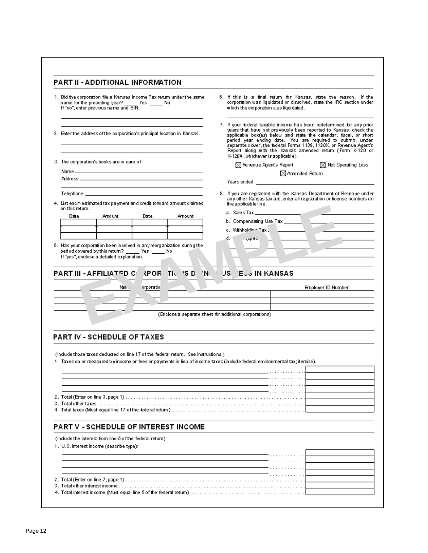|                                                                         | 1. Did the corporation file a Kansas Incorne Tax return under the same.<br>name for the preceding year? Yes _______ No<br>If "no", enter previous name and EIN. |             |                                                                                   |                                                                                                                                                                                                                                                                                                                                                                                                                                                      | which the corporation was liquidated.                                | 6. If this is a final return for Kansas, state the reason. If the<br>corporation was liquidated or dissolved, state the IRC section under       |  |  |
|-------------------------------------------------------------------------|-----------------------------------------------------------------------------------------------------------------------------------------------------------------|-------------|-----------------------------------------------------------------------------------|------------------------------------------------------------------------------------------------------------------------------------------------------------------------------------------------------------------------------------------------------------------------------------------------------------------------------------------------------------------------------------------------------------------------------------------------------|----------------------------------------------------------------------|-------------------------------------------------------------------------------------------------------------------------------------------------|--|--|
| 2. Enter the address of the corporation's principal location in Kansas. |                                                                                                                                                                 |             |                                                                                   | 7. If your federal taxable income has been redetermined for any prior<br>years that have not previously been reported to Kansas, check the<br>applicable box(es) below and state the calendar, iscal, or short<br>period year ending date. You are required to submit, under<br>separate cover, the federal Forms 1139, 1120X, or Revenue Agent's<br>Report along with the Kansas amended return (Form K-120 or<br>K-120X, whichever is applicable). |                                                                      |                                                                                                                                                 |  |  |
|                                                                         | 3. The corporation's books are in care of:                                                                                                                      |             |                                                                                   |                                                                                                                                                                                                                                                                                                                                                                                                                                                      | $\boxtimes$ Revenue Agent's Report<br>$\boxtimes$ Net Operating Loss |                                                                                                                                                 |  |  |
|                                                                         |                                                                                                                                                                 |             |                                                                                   |                                                                                                                                                                                                                                                                                                                                                                                                                                                      |                                                                      | ⊠ Amended Return                                                                                                                                |  |  |
|                                                                         |                                                                                                                                                                 |             |                                                                                   |                                                                                                                                                                                                                                                                                                                                                                                                                                                      |                                                                      |                                                                                                                                                 |  |  |
|                                                                         |                                                                                                                                                                 |             |                                                                                   |                                                                                                                                                                                                                                                                                                                                                                                                                                                      |                                                                      |                                                                                                                                                 |  |  |
| on this return.                                                         | 4. List each estimated tax palyment and credit forward amount claimed.                                                                                          |             |                                                                                   |                                                                                                                                                                                                                                                                                                                                                                                                                                                      | the applicable line.                                                 | 8. If you are registered with the Kansas Department of Revenue under<br>any other Kansas tax act, enter all registration or license numbers on. |  |  |
| Date                                                                    | Amount                                                                                                                                                          | Date        | Amount                                                                            |                                                                                                                                                                                                                                                                                                                                                                                                                                                      |                                                                      | b. Compensating Use-Tax                                                                                                                         |  |  |
|                                                                         |                                                                                                                                                                 |             |                                                                                   |                                                                                                                                                                                                                                                                                                                                                                                                                                                      |                                                                      |                                                                                                                                                 |  |  |
|                                                                         |                                                                                                                                                                 |             |                                                                                   |                                                                                                                                                                                                                                                                                                                                                                                                                                                      | c. Withhold Trax _<br>, குறைவ                                        |                                                                                                                                                 |  |  |
|                                                                         | PART III - AFFILIA <sup>TH</sup> O C RPOR TIM                                                                                                                   |             | 'S D<br>'N                                                                        |                                                                                                                                                                                                                                                                                                                                                                                                                                                      | <b>JS ELS IN KANSAS</b>                                              |                                                                                                                                                 |  |  |
|                                                                         | Nan.<br><b>PART IV - SCHEDULE OF TAXES</b>                                                                                                                      | `orporatiol |                                                                                   |                                                                                                                                                                                                                                                                                                                                                                                                                                                      | (Enclose a separate sheet for additional corporations)               | Employer ID Number                                                                                                                              |  |  |
|                                                                         |                                                                                                                                                                 |             | (indude those taxes deducted on line 17 of the federal return. See instructions.) |                                                                                                                                                                                                                                                                                                                                                                                                                                                      |                                                                      | 1. Taxes on or measured bly income or fees or payments in lieu of income taxes (include federal environmental tax; itemize).                    |  |  |
|                                                                         |                                                                                                                                                                 |             |                                                                                   |                                                                                                                                                                                                                                                                                                                                                                                                                                                      |                                                                      |                                                                                                                                                 |  |  |
|                                                                         |                                                                                                                                                                 |             |                                                                                   |                                                                                                                                                                                                                                                                                                                                                                                                                                                      |                                                                      |                                                                                                                                                 |  |  |
|                                                                         |                                                                                                                                                                 |             |                                                                                   |                                                                                                                                                                                                                                                                                                                                                                                                                                                      |                                                                      |                                                                                                                                                 |  |  |
|                                                                         |                                                                                                                                                                 |             |                                                                                   |                                                                                                                                                                                                                                                                                                                                                                                                                                                      |                                                                      |                                                                                                                                                 |  |  |
|                                                                         |                                                                                                                                                                 |             |                                                                                   |                                                                                                                                                                                                                                                                                                                                                                                                                                                      |                                                                      |                                                                                                                                                 |  |  |
|                                                                         |                                                                                                                                                                 |             |                                                                                   |                                                                                                                                                                                                                                                                                                                                                                                                                                                      |                                                                      |                                                                                                                                                 |  |  |
|                                                                         | <b>PART V - SCHEDULE OF INTEREST INCOME</b>                                                                                                                     |             |                                                                                   |                                                                                                                                                                                                                                                                                                                                                                                                                                                      |                                                                      |                                                                                                                                                 |  |  |
|                                                                         | (Indude the interest from line 5 of the federal return)<br>1. U.S. interest income (describe type):                                                             |             |                                                                                   |                                                                                                                                                                                                                                                                                                                                                                                                                                                      |                                                                      |                                                                                                                                                 |  |  |
|                                                                         |                                                                                                                                                                 |             |                                                                                   |                                                                                                                                                                                                                                                                                                                                                                                                                                                      |                                                                      |                                                                                                                                                 |  |  |
|                                                                         |                                                                                                                                                                 |             |                                                                                   |                                                                                                                                                                                                                                                                                                                                                                                                                                                      |                                                                      |                                                                                                                                                 |  |  |
|                                                                         |                                                                                                                                                                 |             |                                                                                   |                                                                                                                                                                                                                                                                                                                                                                                                                                                      |                                                                      |                                                                                                                                                 |  |  |
|                                                                         |                                                                                                                                                                 |             |                                                                                   |                                                                                                                                                                                                                                                                                                                                                                                                                                                      |                                                                      |                                                                                                                                                 |  |  |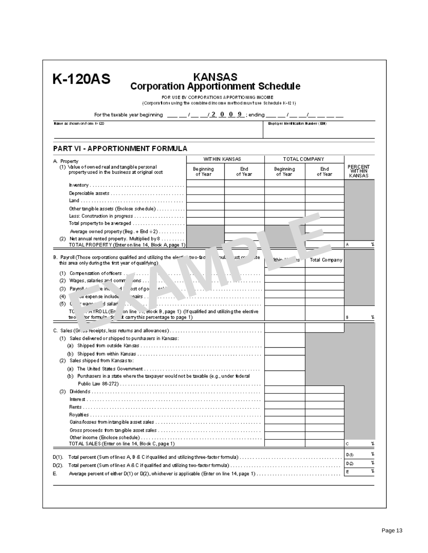| (Corporations using the combined income method mustuse Schedule K-12.1)                                                                                                                                                                                                                                                                                                                                                                                                                                                                         | FOR USE BY CORPORATIONS APPORTIONING INCOME |                |                                  |                |                          |
|-------------------------------------------------------------------------------------------------------------------------------------------------------------------------------------------------------------------------------------------------------------------------------------------------------------------------------------------------------------------------------------------------------------------------------------------------------------------------------------------------------------------------------------------------|---------------------------------------------|----------------|----------------------------------|----------------|--------------------------|
| For the taxable year beginning $\,\,\underline{\qquad},\underline{\qquad},\underline{\qquad}\,/\,\underline{\qquad}\,$ , $2$ , $0$ , $0$ , $9$ ; ending $\,\,\underline{\qquad},\,\underline{\qquad},\,\underline{\qquad},\,\underline{\qquad},\,\underline{\qquad},\,\underline{\qquad},\,\underline{\qquad},\,\underline{\qquad},\,\underline{\qquad},\,\underline{\qquad},\,\underline{\qquad},\,\underline{\qquad},\,\underline{\qquad},\,\underline{\qquad},\,\underline{\qquad},\,\underline{\qquad},\,\underline{\qquad},\,\underline{\$ |                                             |                |                                  |                |                          |
| Name as shown on Form 1/20                                                                                                                                                                                                                                                                                                                                                                                                                                                                                                                      |                                             |                | Baptger Mentrication Number (EN) |                |                          |
| PART VI - APPORTIONMENT FORMULA                                                                                                                                                                                                                                                                                                                                                                                                                                                                                                                 |                                             |                |                                  |                |                          |
|                                                                                                                                                                                                                                                                                                                                                                                                                                                                                                                                                 | WITHIN KANSAS                               |                | TOTAL COMPANY                    |                |                          |
| A. Property<br>(1) Value of owned real and tangible personal<br>property used in the business at original cost                                                                                                                                                                                                                                                                                                                                                                                                                                  | Be ginning<br>of Year                       | End<br>of Year | Beginning<br>of Year             | End<br>of Year | <b>PERCENT</b><br>KANSAS |
|                                                                                                                                                                                                                                                                                                                                                                                                                                                                                                                                                 |                                             |                |                                  |                |                          |
|                                                                                                                                                                                                                                                                                                                                                                                                                                                                                                                                                 |                                             |                |                                  |                |                          |
|                                                                                                                                                                                                                                                                                                                                                                                                                                                                                                                                                 |                                             |                |                                  |                |                          |
| Other tangible assets (Enclose schedule)                                                                                                                                                                                                                                                                                                                                                                                                                                                                                                        |                                             |                |                                  |                |                          |
|                                                                                                                                                                                                                                                                                                                                                                                                                                                                                                                                                 |                                             |                |                                  |                |                          |
| Total property to be a veraged $\ldots \ldots \ldots \ldots \ldots \ldots \ldots$                                                                                                                                                                                                                                                                                                                                                                                                                                                               |                                             |                |                                  |                |                          |
| Average owned property (Beg. + End $\div 2)$                                                                                                                                                                                                                                                                                                                                                                                                                                                                                                    |                                             |                |                                  |                |                          |
| (2) Net annual rented property. Multiplied by 8<br>TOTAL PROPERTY (Enter on line 14, Block A, page 1)                                                                                                                                                                                                                                                                                                                                                                                                                                           |                                             |                |                                  |                | А                        |
| $\sim$ 10 $-$<br>(5).<br>-0.<br>— id salari<br>.rAYROLL(En<br>in line , Block B, page 1) (If qualified and utilizing the elective<br>тo<br>or formulation of a computilis percentage to page 1).<br>two-                                                                                                                                                                                                                                                                                                                                        |                                             |                |                                  |                | В                        |
|                                                                                                                                                                                                                                                                                                                                                                                                                                                                                                                                                 |                                             |                |                                  |                |                          |
| (1) Sales delivered or shipped to purchasers in Kansas:                                                                                                                                                                                                                                                                                                                                                                                                                                                                                         |                                             |                |                                  |                |                          |
|                                                                                                                                                                                                                                                                                                                                                                                                                                                                                                                                                 |                                             |                |                                  |                |                          |
|                                                                                                                                                                                                                                                                                                                                                                                                                                                                                                                                                 |                                             |                |                                  |                |                          |
|                                                                                                                                                                                                                                                                                                                                                                                                                                                                                                                                                 |                                             |                |                                  |                |                          |
| (2) Sales shipped from Kansais to:                                                                                                                                                                                                                                                                                                                                                                                                                                                                                                              |                                             |                |                                  |                |                          |
|                                                                                                                                                                                                                                                                                                                                                                                                                                                                                                                                                 |                                             |                |                                  |                |                          |
| (b) Purchasers in a state where the taxpayer would not be taxable (e.g., under federal                                                                                                                                                                                                                                                                                                                                                                                                                                                          |                                             |                |                                  |                |                          |
|                                                                                                                                                                                                                                                                                                                                                                                                                                                                                                                                                 |                                             |                |                                  |                |                          |
|                                                                                                                                                                                                                                                                                                                                                                                                                                                                                                                                                 |                                             |                |                                  |                |                          |
|                                                                                                                                                                                                                                                                                                                                                                                                                                                                                                                                                 |                                             |                |                                  |                |                          |
|                                                                                                                                                                                                                                                                                                                                                                                                                                                                                                                                                 |                                             |                |                                  |                |                          |
|                                                                                                                                                                                                                                                                                                                                                                                                                                                                                                                                                 |                                             |                |                                  |                |                          |
|                                                                                                                                                                                                                                                                                                                                                                                                                                                                                                                                                 |                                             |                |                                  |                |                          |
|                                                                                                                                                                                                                                                                                                                                                                                                                                                                                                                                                 |                                             |                |                                  |                |                          |
| TOTAL SALES (Enter on line 14, Block C, page 1)                                                                                                                                                                                                                                                                                                                                                                                                                                                                                                 |                                             |                |                                  |                | с                        |
|                                                                                                                                                                                                                                                                                                                                                                                                                                                                                                                                                 |                                             |                |                                  |                | D (I)                    |
| $D(1)$ .<br>Total percent (Sum of lines A, B & C if qualifed and utilizing three-factor formula)<br>D(2).                                                                                                                                                                                                                                                                                                                                                                                                                                       |                                             |                |                                  |                | DØ)                      |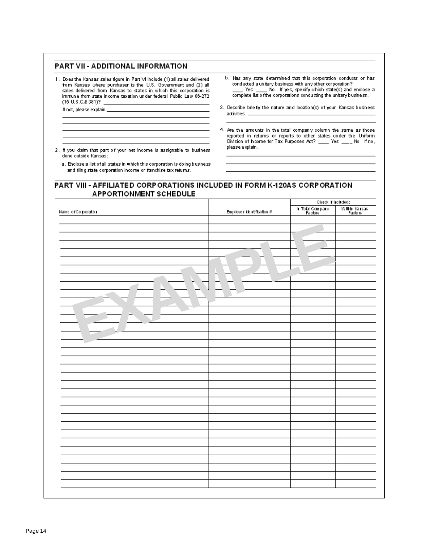#### PART VII - ADDITIONAL INFORMATION

If not, please explain \_

- 1. Does the Kansas sales figure in Part VI include (1) all sales delivered form Kansas where purchaser is the U.S. Government and (2) all sales delivered from Kansas to states in which this corporation is immune from state income taxation under federal Public Law 86-272. (15 U.S.C.§ 381)?
- b. Has any state determined that this corporation conducts or has conducted a unitary business with any other corporation? \_\_\_\_ Yes \_\_\_\_ No If yes, specify which state(s) and enclose a complete list of the corporations conducting the unitary business.
- 3. Describe briefly the nature and location(s) of your Kansas business activities.
- 4. Are the amounts in the total company column the same as those reported in returns or reports to other states under the Uniform Division of Income for Tax Purposes Act? \_\_\_\_\_ Yes \_\_\_\_\_ No Hino, please explain.

2. If you claim that part of your net income is assignable to business done outside Kansas:

a. Enclose a list of all states in which this corporation is doing business and fling state corporation income or franchise tax returns.

#### PART VIII - AFFILIATED CORPORATIONS INCLUDED IN FORM K-120AS CORPORATION **APPORTIONMENT SCHEDULE**

|                    |                           |                           | Check l'included:        |  |  |
|--------------------|---------------------------|---------------------------|--------------------------|--|--|
| Name of Co poratbu | Employer kientification # | h TotalCompany<br>Factors | Within Kansas<br>Factors |  |  |
|                    |                           |                           |                          |  |  |
|                    |                           |                           |                          |  |  |
|                    |                           |                           |                          |  |  |
|                    |                           |                           |                          |  |  |
|                    |                           |                           |                          |  |  |
|                    |                           |                           |                          |  |  |
|                    |                           |                           |                          |  |  |
|                    |                           |                           |                          |  |  |
|                    |                           |                           |                          |  |  |
|                    |                           |                           |                          |  |  |
|                    |                           |                           |                          |  |  |
|                    |                           |                           |                          |  |  |
|                    |                           |                           |                          |  |  |
|                    |                           |                           |                          |  |  |
|                    |                           |                           |                          |  |  |
|                    |                           |                           |                          |  |  |
|                    |                           |                           |                          |  |  |
|                    |                           |                           |                          |  |  |
|                    |                           |                           |                          |  |  |
|                    |                           |                           |                          |  |  |
|                    |                           |                           |                          |  |  |
|                    |                           |                           |                          |  |  |
|                    |                           |                           |                          |  |  |
|                    |                           |                           |                          |  |  |
|                    |                           |                           |                          |  |  |
|                    |                           |                           |                          |  |  |
|                    |                           |                           |                          |  |  |
|                    |                           |                           |                          |  |  |
|                    |                           |                           |                          |  |  |
|                    |                           |                           |                          |  |  |
|                    |                           |                           |                          |  |  |
|                    |                           |                           |                          |  |  |
|                    |                           |                           |                          |  |  |
|                    |                           |                           |                          |  |  |
|                    |                           |                           |                          |  |  |
|                    |                           |                           |                          |  |  |
|                    |                           |                           |                          |  |  |
|                    |                           |                           |                          |  |  |
|                    |                           |                           |                          |  |  |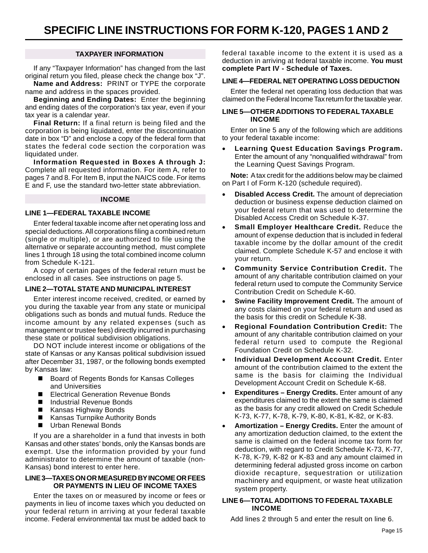#### **TAXPAYER INFORMATION**

If any "Taxpayer Information" has changed from the last original return you filed, please check the change box "J".

**Name and Address:** PRINT or TYPE the corporate name and address in the spaces provided.

**Beginning and Ending Dates:** Enter the beginning and ending dates of the corporation's tax year, even if your tax year is a calendar year.

**Final Return:** If a final return is being filed and the corporation is being liquidated, enter the discontinuation date in box "D" and enclose a copy of the federal form that states the federal code section the corporation was liquidated under.

**Information Requested in Boxes A through J:** Complete all requested information. For item A, refer to pages 7 and 8. For Item B, input the NAICS code. For items E and F, use the standard two-letter state abbreviation.

#### **INCOME**

#### **LINE 1—FEDERAL TAXABLE INCOME**

Enter federal taxable income after net operating loss and special deductions. All corporations filing a combined return (single or multiple), or are authorized to file using the alternative or separate accounting method, must complete lines 1 through 18 using the total combined income column from Schedule K-121.

A copy of certain pages of the federal return must be enclosed in all cases. See instructions on page 5.

#### **LINE 2—TOTAL STATE AND MUNICIPAL INTEREST**

Enter interest income received, credited, or earned by you during the taxable year from any state or municipal obligations such as bonds and mutual funds. Reduce the income amount by any related expenses (such as management or trustee fees) directly incurred in purchasing these state or political subdivision obligations.

DO NOT include interest income or obligations of the state of Kansas or any Kansas political subdivision issued after December 31, 1987, or the following bonds exempted by Kansas law:

- Board of Regents Bonds for Kansas Colleges and Universities
- Electrical Generation Revenue Bonds
- Industrial Revenue Bonds
- Kansas Highway Bonds
- Kansas Turnpike Authority Bonds
- **Urban Renewal Bonds**

If you are a shareholder in a fund that invests in both Kansas and other states' bonds, only the Kansas bonds are exempt. Use the information provided by your fund administrator to determine the amount of taxable (non-Kansas) bond interest to enter here.

#### **LINE 3—TAXES ON OR MEASURED BY INCOME OR FEES OR PAYMENTS IN LIEU OF INCOME TAXES**

Enter the taxes on or measured by income or fees or payments in lieu of income taxes which you deducted on your federal return in arriving at your federal taxable income. Federal environmental tax must be added back to federal taxable income to the extent it is used as a deduction in arriving at federal taxable income. **You must complete Part IV - Schedule of Taxes.** 

#### **LINE 4—FEDERAL NET OPERATING LOSS DEDUCTION**

Enter the federal net operating loss deduction that was claimed on the Federal Income Tax return for the taxable year.

#### **LINE 5—OTHER ADDITIONS TO FEDERAL TAXABLE INCOME**

Enter on line 5 any of the following which are additions to your federal taxable income:

**Learning Quest Education Savings Program.** Enter the amount of any "nonqualified withdrawal" from the Learning Quest Savings Program.

 **Note:** A tax credit for the additions below may be claimed on Part I of Form K-120 (schedule required).

- • **Disabled Access Credit.** The amount of depreciation deduction or business expense deduction claimed on your federal return that was used to determine the Disabled Access Credit on Schedule K-37.
- **Small Employer Healthcare Credit.** Reduce the amount of expense deduction that is included in federal taxable income by the dollar amount of the credit claimed. Complete Schedule K-57 and enclose it with your return.
- **Community Service Contribution Credit.** The amount of any charitable contribution claimed on your federal return used to compute the Community Service Contribution Credit on Schedule K-60.
- **Swine Facility Improvement Credit.** The amount of any costs claimed on your federal return and used as the basis for this credit on Schedule K-38.
- **Regional Foundation Contribution Credit: The** amount of any charitable contribution claimed on your federal return used to compute the Regional Foundation Credit on Schedule K-32.
- **Individual Development Account Credit.** Enter amount of the contribution claimed to the extent the same is the basis for claiming the Individual Development Account Credit on Schedule K-68.
- **Expenditures Energy Credits.** Enter amount of any expenditures claimed to the extent the same is claimed as the basis for any credit allowed on Credit Schedule K-73, K-77, K-78, K-79, K-80, K-81, K-82, or K-83.
- Amortization Energy Credits. Enter the amount of any amortization deduction claimed, to the extent the same is claimed on the federal income tax form for deduction, with regard to Credit Schedule K-73, K-77, K-78, K-79, K-82 or K-83 and any amount claimed in determining federal adjusted gross income on carbon dioxide recapture, sequestration or utilization machinery and equipment, or waste heat utilization system property.

#### **LINE 6—TOTAL ADDITIONS TO FEDERAL TAXABLE INCOME**

Add lines 2 through 5 and enter the result on line 6.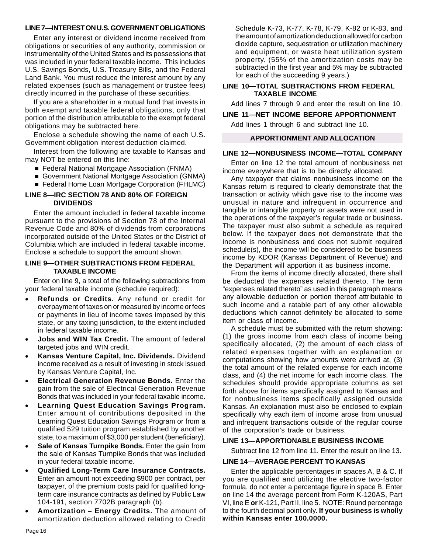#### **LINE 7—INTEREST ON U.S. GOVERNMENT OBLIGATIONS**

Enter any interest or dividend income received from obligations or securities of any authority, commission or instrumentality of the United States and its possessions that was included in your federal taxable income. This includes U.S. Savings Bonds, U.S. Treasury Bills, and the Federal Land Bank. You must reduce the interest amount by any related expenses (such as management or trustee fees) directly incurred in the purchase of these securities.

If you are a shareholder in a mutual fund that invests in both exempt and taxable federal obligations, only that portion of the distribution attributable to the exempt federal obligations may be subtracted here.

Enclose a schedule showing the name of each U.S. Government obligation interest deduction claimed.

Interest from the following are taxable to Kansas and may NOT be entered on this line:

- Federal National Mortgage Association (FNMA)
- Government National Mortgage Association (GNMA)
- Federal Home Loan Mortgage Corporation (FHLMC)

#### **LINE 8—IRC SECTION 78 AND 80% OF FOREIGN DIVIDENDS**

Enter the amount included in federal taxable income pursuant to the provisions of Section 78 of the Internal Revenue Code and 80% of dividends from corporations incorporated outside of the United States or the District of Columbia which are included in federal taxable income. Enclose a schedule to support the amount shown.

#### **LINE 9—OTHER SUBTRACTIONS FROM FEDERAL TAXABLE INCOME**

Enter on line 9, a total of the following subtractions from your federal taxable income (schedule required):

- **Refunds or Credits.** Any refund or credit for overpayment of taxes on or measured by income or fees or payments in lieu of income taxes imposed by this state, or any taxing jurisdiction, to the extent included in federal taxable income.
- **Jobs and WIN Tax Credit.** The amount of federal targeted jobs and WIN credit.
- **Kansas Venture Capital, Inc. Dividends.** Dividend income received as a result of investing in stock issued by Kansas Venture Capital, Inc.
- **Electrical Generation Revenue Bonds.** Enter the gain from the sale of Electrical Generation Revenue Bonds that was included in your federal taxable income.
- **Learning Quest Education Savings Program.** Enter amount of contributions deposited in the Learning Quest Education Savings Program or from a qualified 529 tuition program established by another state, to a maximum of \$3,000 per student (beneficiary).
- **Sale of Kansas Turnpike Bonds.** Enter the gain from the sale of Kansas Turnpike Bonds that was included in your federal taxable income.
- **Qualified Long-Term Care Insurance Contracts.** Enter an amount not exceeding \$900 per contract, per taxpayer, of the premium costs paid for qualified longterm care insurance contracts as defined by Public Law 104-191, section 7702B paragraph (b).
- Amortization Energy Credits. The amount of amortization deduction allowed relating to Credit

Schedule K-73, K-77, K-78, K-79, K-82 or K-83, and the amount of amortization deduction allowed for carbon dioxide capture, sequestration or utilization machinery and equipment, or waste heat utilization system property. (55% of the amortization costs may be subtracted in the first year and 5% may be subtracted for each of the succeeding 9 years.)

#### **LINE 10—TOTAL SUBTRACTIONS FROM FEDERAL TAXABLE INCOME**

Add lines 7 through 9 and enter the result on line 10.

#### **LINE 11—NET INCOME BEFORE APPORTIONMENT**

Add lines 1 through 6 and subtract line 10.

#### **APPORTIONMENT AND ALLOCATION**

#### **LINE 12—NONBUSINESS INCOME—TOTAL COMPANY**

Enter on line 12 the total amount of nonbusiness net income everywhere that is to be directly allocated.

Any taxpayer that claims nonbusiness income on the Kansas return is required to clearly demonstrate that the transaction or activity which gave rise to the income was unusual in nature and infrequent in occurrence and tangible or intangible property or assets were not used in the operations of the taxpayer's regular trade or business. The taxpayer must also submit a schedule as required below. If the taxpayer does not demonstrate that the income is nonbusiness and does not submit required schedule(s), the income will be considered to be business income by KDOR (Kansas Department of Revenue) and the Department will apportion it as business income.

From the items of income directly allocated, there shall be deducted the expenses related thereto. The term "expenses related thereto" as used in this paragraph means any allowable deduction or portion thereof attributable to such income and a ratable part of any other allowable deductions which cannot definitely be allocated to some item or class of income.

A schedule must be submitted with the return showing: (1) the gross income from each class of income being specifically allocated, (2) the amount of each class of related expenses together with an explanation or computations showing how amounts were arrived at, (3) the total amount of the related expense for each income class, and (4) the net income for each income class. The schedules should provide appropriate columns as set forth above for items specifically assigned to Kansas and for nonbusiness items specifically assigned outside Kansas. An explanation must also be enclosed to explain specifically why each item of income arose from unusual and infrequent transactions outside of the regular course of the corporation's trade or business.

#### **LINE 13—APPORTIONABLE BUSINESS INCOME**

Subtract line 12 from line 11. Enter the result on line 13.

#### **LINE 14—AVERAGE PERCENT TO KANSAS**

Enter the applicable percentages in spaces A, B & C. If you are qualified and utilizing the elective two-factor formula, do not enter a percentage figure in space B. Enter on line 14 the average percent from Form K-120AS, Part VI, line E **or** K-121, Part II, line 5. NOTE: Round percentage to the fourth decimal point only. **If your business is wholly within Kansas enter 100.0000.**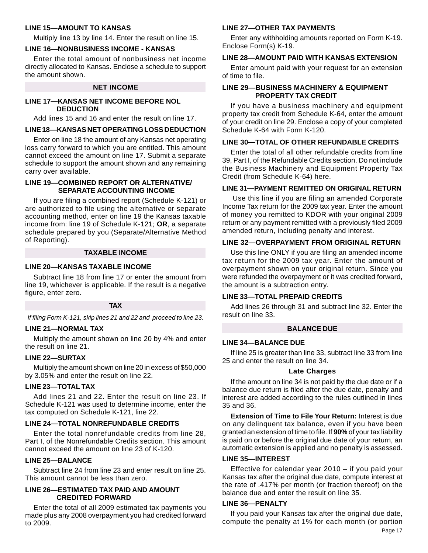#### **LINE 15—AMOUNT TO KANSAS**

Multiply line 13 by line 14. Enter the result on line 15.

#### **LINE 16—NONBUSINESS INCOME - KANSAS**

Enter the total amount of nonbusiness net income directly allocated to Kansas. Enclose a schedule to support the amount shown.

#### **NET INCOME**

#### **LINE 17—KANSAS NET INCOME BEFORE NOL DEDUCTION**

Add lines 15 and 16 and enter the result on line 17.

#### **LINE 18—KANSAS NET OPERATING LOSS DEDUCTION**

Enter on line 18 the amount of any Kansas net operating loss carry forward to which you are entitled. This amount cannot exceed the amount on line 17. Submit a separate schedule to support the amount shown and any remaining carry over available.

#### **LINE 19—COMBINED REPORT OR ALTERNATIVE/ SEPARATE ACCOUNTING INCOME**

If you are filing a combined report (Schedule K-121) or are authorized to file using the alternative or separate accounting method, enter on line 19 the Kansas taxable income from: line 19 of Schedule K-121; **OR**, a separate schedule prepared by you (Separate/Alternative Method of Reporting).

#### **TAXABLE INCOME**

#### **LINE 20—KANSAS TAXABLE INCOME**

Subtract line 18 from line 17 or enter the amount from line 19, whichever is applicable. If the result is a negative figure, enter zero.

#### **TAX**

*If filing Form K-121, skip lines 21 and 22 and proceed to line 23.* 

#### **LINE 21—NORMAL TAX**

Multiply the amount shown on line 20 by 4% and enter the result on line 21.

#### **LINE 22—SURTAX**

Multiply the amount shown on line 20 in excess of \$50,000 by 3.05% and enter the result on line 22.

#### **LINE 23—TOTAL TAX**

Add lines 21 and 22. Enter the result on line 23. If Schedule K-121 was used to determine income, enter the tax computed on Schedule K-121, line 22.

#### **LINE 24—TOTAL NONREFUNDABLE CREDITS**

Enter the total nonrefundable credits from line 28, Part I, of the Nonrefundable Credits section. This amount cannot exceed the amount on line 23 of K-120.

#### **LINE 25—BALANCE**

Subtract line 24 from line 23 and enter result on line 25. This amount cannot be less than zero.

#### **LINE 26—ESTIMATED TAX PAID AND AMOUNT CREDITED FORWARD**

Enter the total of all 2009 estimated tax payments you made plus any 2008 overpayment you had credited forward to 2009.

#### **LINE 27—OTHER TAX PAYMENTS**

Enter any withholding amounts reported on Form K-19. Enclose Form(s) K-19.

#### **LINE 28—AMOUNT PAID WITH KANSAS EXTENSION**

Enter amount paid with your request for an extension of time to file.

#### **LINE 29—BUSINESS MACHINERY & EQUIPMENT PROPERTY TAX CREDIT**

If you have a business machinery and equipment property tax credit from Schedule K-64, enter the amount of your credit on line 29. Enclose a copy of your completed Schedule K-64 with Form K-120.

#### **LINE 30—TOTAL OF OTHER REFUNDABLE CREDITS**

Enter the total of all other refundable credits from line 39, Part I, of the Refundable Credits section. Do not include the Business Machinery and Equipment Property Tax Credit (from Schedule K-64) here.

#### **LINE 31—PAYMENT REMITTED ON ORIGINAL RETURN**

 Use this line if you are filing an amended Corporate Income Tax return for the 2009 tax year. Enter the amount of money you remitted to KDOR with your original 2009 return or any payment remitted with a previously filed 2009 amended return, including penalty and interest.

#### **LINE 32—OVERPAYMENT FROM ORIGINAL RETURN**

Use this line ONLY if you are filing an amended income tax return for the 2009 tax year. Enter the amount of overpayment shown on your original return. Since you were refunded the overpayment or it was credited forward, the amount is a subtraction entry.

#### **LINE 33—TOTAL PREPAID CREDITS**

Add lines 26 through 31 and subtract line 32. Enter the result on line 33.

#### **BALANCE DUE**

#### **LINE 34—BALANCE DUE**

If line 25 is greater than line 33, subtract line 33 from line 25 and enter the result on line 34.

#### **Late Charges**

If the amount on line 34 is not paid by the due date or if a balance due return is filed after the due date, penalty and interest are added according to the rules outlined in lines 35 and 36.

**Extension of Time to File Your Return: Interest is due** on any delinquent tax balance, even if you have been granted an extension of time to file. If **90%** of your tax liability is paid on or before the original due date of your return, an automatic extension is applied and no penalty is assessed.

#### **LINE 35—INTEREST**

Effective for calendar year 2010 – if you paid your Kansas tax after the original due date, compute interest at the rate of .417% per month (or fraction thereof) on the balance due and enter the result on line 35.

#### **LINE 36—PENALTY**

If you paid your Kansas tax after the original due date, compute the penalty at 1% for each month (or portion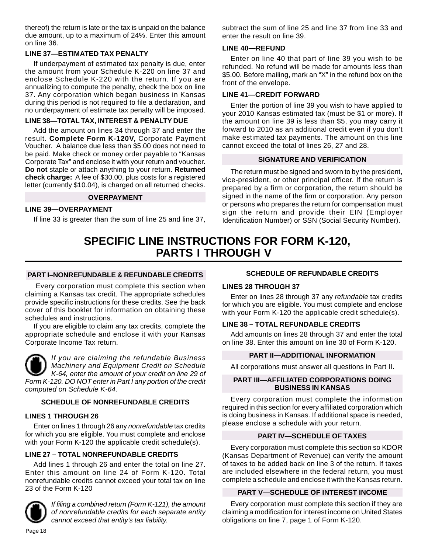thereof) the return is late or the tax is unpaid on the balance due amount, up to a maximum of 24%. Enter this amount on line 36.

#### **LINE 37—ESTIMATED TAX PENALTY**

If underpayment of estimated tax penalty is due, enter the amount from your Schedule K-220 on line 37 and enclose Schedule K-220 with the return. If you are annualizing to compute the penalty, check the box on line 37. Any corporation which began business in Kansas during this period is not required to file a declaration, and no underpayment of estimate tax penalty will be imposed.

#### **LINE 38—TOTAL TAX, INTEREST & PENALTY DUE**

 **check charge:** A fee of \$30.00, plus costs for a registered Add the amount on lines 34 through 37 and enter the result. **Complete Form K-120V,** Corporate Payment Voucher. A balance due less than \$5.00 does not need to be paid. Make check or money order payable to "Kansas Corporate Tax" and enclose it with your return and voucher. **Do not** staple or attach anything to your return. **Returned**  letter (currently \$10.04), is charged on all returned checks.

#### **OVERPAYMENT**

#### **LINE 39—OVERPAYMENT**

If line 33 is greater than the sum of line 25 and line 37,

subtract the sum of line 25 and line 37 from line 33 and enter the result on line 39.

#### **LINE 40—REFUND**

Enter on line 40 that part of line 39 you wish to be refunded. No refund will be made for amounts less than \$5.00. Before mailing, mark an "X" in the refund box on the front of the envelope.

#### **LINE 41—CREDIT FORWARD**

Enter the portion of line 39 you wish to have applied to your 2010 Kansas estimated tax (must be \$1 or more). If the amount on line 39 is less than \$5, you may carry it forward to 2010 as an additional credit even if you don't make estimated tax payments. The amount on this line cannot exceed the total of lines 26, 27 and 28.

#### **SIGNATURE AND VERIFICATION**

The return must be signed and sworn to by the president, vice-president, or other principal officer. If the return is prepared by a firm or corporation, the return should be signed in the name of the firm or corporation. Any person or persons who prepares the return for compensation must sign the return and provide their EIN (Employer Identification Number) or SSN (Social Security Number).

### **SPECIFIC LINE INSTRUCTIONS FOR FORM K-120, PARTS I THROUGH V**

#### **PART I–NONREFUNDABLE & REFUNDABLE CREDITS**

 Every corporation must complete this section when claiming a Kansas tax credit. The appropriate schedules provide specific instructions for these credits. See the back cover of this booklet for information on obtaining these schedules and instructions.

If you are eligible to claim any tax credits, complete the appropriate schedule and enclose it with your Kansas Corporate Income Tax return.



*If you are claiming the refundable Business Machinery and Equipment Credit on Schedule K-64, enter the amount of your credit on line 29 of Form K-120. DO NOT enter in Part I any portion of the credit computed on Schedule K-64.* 

#### **SCHEDULE OF NONREFUNDABLE CREDITS**

#### **LINES 1 THROUGH 26**

Enter on lines 1 through 26 any *nonrefundable* tax credits for which you are eligible. You must complete and enclose with your Form K-120 the applicable credit schedule(s).

#### **LINE 27 – TOTAL NONREFUNDABLE CREDITS**

Add lines 1 through 26 and enter the total on line 27. Enter this amount on line 24 of Form K-120. Total nonrefundable credits cannot exceed your total tax on line 23 of the Form K-120



*If filing a combined return (Form K-121), the amount of nonrefundable credits for each separate entity cannot exceed that entity's tax liability.* 

#### **SCHEDULE OF REFUNDABLE CREDITS**

#### **LINES 28 THROUGH 37**

Enter on lines 28 through 37 any *refundable* tax credits for which you are eligible. You must complete and enclose with your Form K-120 the applicable credit schedule(s).

#### **LINE 38 – TOTAL REFUNDABLE CREDITS**

Add amounts on lines 28 through 37 and enter the total on line 38. Enter this amount on line 30 of Form K-120.

#### **PART II—ADDITIONAL INFORMATION**

All corporations must answer all questions in Part II.

#### **PART III—AFFILIATED CORPORATIONS DOING BUSINESS IN KANSAS**

Every corporation must complete the information required in this section for every affiliated corporation which is doing business in Kansas. If additional space is needed, please enclose a schedule with your return.

#### **PART IV—SCHEDULE OF TAXES**

Every corporation must complete this section so KDOR (Kansas Department of Revenue) can verify the amount of taxes to be added back on line 3 of the return. If taxes are included elsewhere in the federal return, you must complete a schedule and enclose it with the Kansas return.

#### **PART V—SCHEDULE OF INTEREST INCOME**

Every corporation must complete this section if they are claiming a modification for interest income on United States obligations on line 7, page 1 of Form K-120.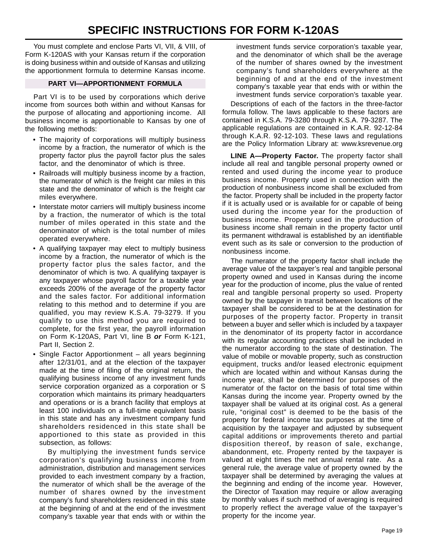You must complete and enclose Parts VI, VII, & VIII, of Form K-120AS with your Kansas return if the corporation is doing business within and outside of Kansas and utilizing the apportionment formula to determine Kansas income.

#### **PART VI—APPORTIONMENT FORMULA**

Part VI is to be used by corporations which derive income from sources both within and without Kansas for the purpose of allocating and apportioning income. All business income is apportionable to Kansas by one of the following methods:

- The majority of corporations will multiply business income by a fraction, the numerator of which is the property factor plus the payroll factor plus the sales factor, and the denominator of which is three.
- Railroads will multiply business income by a fraction, the numerator of which is the freight car miles in this state and the denominator of which is the freight car miles everywhere.
- Interstate motor carriers will multiply business income by a fraction, the numerator of which is the total number of miles operated in this state and the denominator of which is the total number of miles operated everywhere.
- A qualifying taxpayer may elect to multiply business income by a fraction, the numerator of which is the property factor plus the sales factor, and the denominator of which is two. A qualifying taxpayer is any taxpayer whose payroll factor for a taxable year exceeds 200% of the average of the property factor and the sales factor. For additional information relating to this method and to determine if you are qualified, you may review K.S.A. 79-3279. If you qualify to use this method you are required to complete, for the first year, the payroll information on Form K-120AS, Part VI, line B *or* Form K-121, Part II, Section 2.
- Single Factor Apportionment all years beginning after 12/31/01, and at the election of the taxpayer made at the time of filing of the original return, the qualifying business income of any investment funds service corporation organized as a corporation or S corporation which maintains its primary headquarters and operations or is a branch facility that employs at least 100 individuals on a full-time equivalent basis in this state and has any investment company fund shareholders residenced in this state shall be apportioned to this state as provided in this subsection, as follows:

By multiplying the investment funds service corporation's qualifying business income from administration, distribution and management services provided to each investment company by a fraction, the numerator of which shall be the average of the number of shares owned by the investment company's fund shareholders residenced in this state at the beginning of and at the end of the investment company's taxable year that ends with or within the investment funds service corporation's taxable year, and the denominator of which shall be the average of the number of shares owned by the investment company's fund shareholders everywhere at the beginning of and at the end of the investment company's taxable year that ends with or within the investment funds service corporation's taxable year.

Descriptions of each of the factors in the three-factor formula follow. The laws applicable to these factors are contained in K.S.A. 79-3280 through K.S.A. 79-3287. The applicable regulations are contained in K.A.R. 92-12-84 through K.A.R. 92-12-103. These laws and regulations are the Policy Information Library at: www.ksrevenue.org

**LINE A—Property Factor.** The property factor shall include all real and tangible personal property owned or rented and used during the income year to produce business income. Property used in connection with the production of nonbusiness income shall be excluded from the factor. Property shall be included in the property factor if it is actually used or is available for or capable of being used during the income year for the production of business income. Property used in the production of business income shall remain in the property factor until its permanent withdrawal is established by an identifiable event such as its sale or conversion to the production of nonbusiness income.

The numerator of the property factor shall include the average value of the taxpayer's real and tangible personal property owned and used in Kansas during the income year for the production of income, plus the value of rented real and tangible personal property so used. Property owned by the taxpayer in transit between locations of the taxpayer shall be considered to be at the destination for purposes of the property factor. Property in transit between a buyer and seller which is included by a taxpayer in the denominator of its property factor in accordance with its regular accounting practices shall be included in the numerator according to the state of destination. The value of mobile or movable property, such as construction equipment, trucks and/or leased electronic equipment which are located within and without Kansas during the income year, shall be determined for purposes of the numerator of the factor on the basis of total time within Kansas during the income year. Property owned by the taxpayer shall be valued at its original cost. As a general rule, "original cost" is deemed to be the basis of the property for federal income tax purposes at the time of acquisition by the taxpayer and adjusted by subsequent capital additions or improvements thereto and partial disposition thereof, by reason of sale, exchange, abandonment, etc. Property rented by the taxpayer is valued at eight times the net annual rental rate. As a general rule, the average value of property owned by the taxpayer shall be determined by averaging the values at the beginning and ending of the income year. However, the Director of Taxation may require or allow averaging by monthly values if such method of averaging is required to properly reflect the average value of the taxpayer's property for the income year.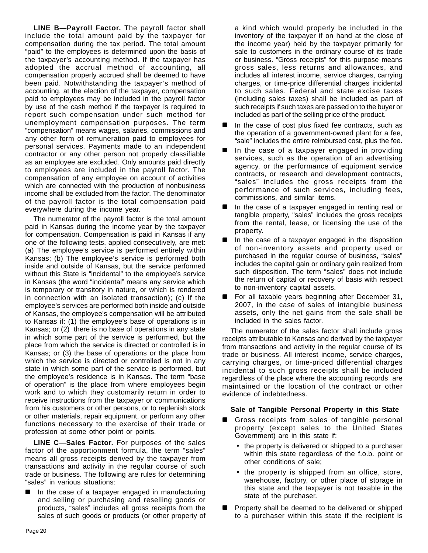**LINE B—Payroll Factor.** The payroll factor shall include the total amount paid by the taxpayer for compensation during the tax period. The total amount "paid" to the employees is determined upon the basis of the taxpayer's accounting method. If the taxpayer has adopted the accrual method of accounting, all compensation properly accrued shall be deemed to have been paid. Notwithstanding the taxpayer's method of accounting, at the election of the taxpayer, compensation paid to employees may be included in the payroll factor by use of the cash method if the taxpayer is required to report such compensation under such method for unemployment compensation purposes. The term "compensation" means wages, salaries, commissions and any other form of remuneration paid to employees for personal services. Payments made to an independent contractor or any other person not properly classifiable as an employee are excluded. Only amounts paid directly to employees are included in the payroll factor. The compensation of any employee on account of activities which are connected with the production of nonbusiness income shall be excluded from the factor. The denominator of the payroll factor is the total compensation paid everywhere during the income year.

The numerator of the payroll factor is the total amount paid in Kansas during the income year by the taxpayer for compensation. Compensation is paid in Kansas if any one of the following tests, applied consecutively, are met: (a) The employee's service is performed entirely within Kansas; (b) The employee's service is performed both inside and outside of Kansas, but the service performed without this State is "incidental" to the employee's service in Kansas (the word "incidental" means any service which is temporary or transitory in nature, or which is rendered in connection with an isolated transaction); (c) If the employee's services are performed both inside and outside of Kansas, the employee's compensation will be attributed to Kansas if: (1) the employee's base of operations is in Kansas; or (2) there is no base of operations in any state in which some part of the service is performed, but the place from which the service is directed or controlled is in Kansas; or (3) the base of operations or the place from which the service is directed or controlled is not in any state in which some part of the service is performed, but the employee's residence is in Kansas. The term "base of operation" is the place from where employees begin work and to which they customarily return in order to receive instructions from the taxpayer or communications from his customers or other persons, or to replenish stock or other materials, repair equipment, or perform any other functions necessary to the exercise of their trade or profession at some other point or points.

**LINE C—Sales Factor.** For purposes of the sales factor of the apportionment formula, the term "sales" means all gross receipts derived by the taxpayer from transactions and activity in the regular course of such trade or business. The following are rules for determining "sales" in various situations:

 In the case of a taxpayer engaged in manufacturing and selling or purchasing and reselling goods or products, "sales" includes all gross receipts from the sales of such goods or products (or other property of

a kind which would properly be included in the inventory of the taxpayer if on hand at the close of the income year) held by the taxpayer primarily for sale to customers in the ordinary course of its trade or business. "Gross receipts" for this purpose means gross sales, less returns and allowances, and includes all interest income, service charges, carrying charges, or time-price differential charges incidental to such sales. Federal and state excise taxes (including sales taxes) shall be included as part of such receipts if such taxes are passed on to the buyer or included as part of the selling price of the product.

- In the case of cost plus fixed fee contracts, such as the operation of a government-owned plant for a fee, "sale" includes the entire reimbursed cost, plus the fee.
- In the case of a taxpayer engaged in providing services, such as the operation of an advertising agency, or the performance of equipment service contracts, or research and development contracts, "sales" includes the gross receipts from the performance of such services, including fees, commissions, and similar items.
- In the case of a taxpayer engaged in renting real or tangible property, "sales" includes the gross receipts from the rental, lease, or licensing the use of the property.
- $\blacksquare$  In the case of a taxpayer engaged in the disposition of non-inventory assets and property used or purchased in the regular course of business, "sales" includes the capital gain or ordinary gain realized from such disposition. The term "sales" does not include the return of capital or recovery of basis with respect to non-inventory capital assets.
- **For all taxable years beginning after December 31,** 2007, in the case of sales of intangible business assets, only the net gains from the sale shall be included in the sales factor.

The numerator of the sales factor shall include gross receipts attributable to Kansas and derived by the taxpayer from transactions and activity in the regular course of its trade or business. All interest income, service charges, carrying charges, or time-priced differential charges incidental to such gross receipts shall be included regardless of the place where the accounting records are maintained or the location of the contract or other evidence of indebtedness.

#### **Sale of Tangible Personal Property in this State**

- Gross receipts from sales of tangible personal property (except sales to the United States Government) are in this state if:
	- the property is delivered or shipped to a purchaser within this state regardless of the f.o.b. point or other conditions of sale;
	- the property is shipped from an office, store, warehouse, factory, or other place of storage in this state and the taxpayer is not taxable in the state of the purchaser.
- Property shall be deemed to be delivered or shipped to a purchaser within this state if the recipient is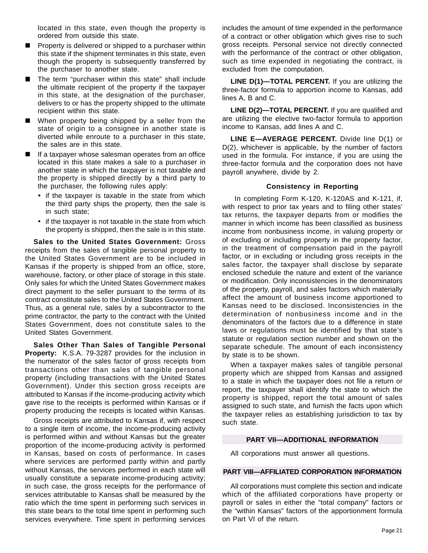located in this state, even though the property is ordered from outside this state.

- Property is delivered or shipped to a purchaser within this state if the shipment terminates in this state, even though the property is subsequently transferred by the purchaser to another state.
- The term "purchaser within this state" shall include the ultimate recipient of the property if the taxpayer in this state, at the designation of the purchaser, delivers to or has the property shipped to the ultimate recipient within this state.
- When property being shipped by a seller from the state of origin to a consignee in another state is diverted while enroute to a purchaser in this state, the sales are in this state.
- If a taxpayer whose salesman operates from an office located in this state makes a sale to a purchaser in another state in which the taxpayer is not taxable and the property is shipped directly by a third party to the purchaser, the following rules apply:
	- if the taxpayer is taxable in the state from which the third party ships the property, then the sale is in such state;
	- if the taxpayer is not taxable in the state from which the property is shipped, then the sale is in this state.

**Sales to the United States Government:** Gross receipts from the sales of tangible personal property to the United States Government are to be included in Kansas if the property is shipped from an office, store, warehouse, factory, or other place of storage in this state. Only sales for which the United States Government makes direct payment to the seller pursuant to the terms of its contract constitute sales to the United States Government. Thus, as a general rule, sales by a subcontractor to the prime contractor, the party to the contract with the United States Government, does not constitute sales to the United States Government.

**Sales Other Than Sales of Tangible Personal Property:** K.S.A. 79-3287 provides for the inclusion in the numerator of the sales factor of gross receipts from transactions other than sales of tangible personal property (including transactions with the United States Government). Under this section gross receipts are attributed to Kansas if the income-producing activity which gave rise to the receipts is performed within Kansas or if property producing the receipts is located within Kansas.

Gross receipts are attributed to Kansas if, with respect to a single item of income, the income-producing activity is performed within and without Kansas but the greater proportion of the income-producing activity is performed in Kansas, based on costs of performance. In cases where services are performed partly within and partly without Kansas, the services performed in each state will usually constitute a separate income-producing activity; in such case, the gross receipts for the performance of services attributable to Kansas shall be measured by the ratio which the time spent in performing such services in this state bears to the total time spent in performing such services everywhere. Time spent in performing services

includes the amount of time expended in the performance of a contract or other obligation which gives rise to such gross receipts. Personal service not directly connected with the performance of the contract or other obligation, such as time expended in negotiating the contract, is excluded from the computation.

**LINE D(1)—TOTAL PERCENT.** If you are utilizing the three-factor formula to apportion income to Kansas, add lines A, B and C.

**LINE D(2)—TOTAL PERCENT.** If you are qualified and are utilizing the elective two-factor formula to apportion income to Kansas, add lines A and C.

**LINE E—AVERAGE PERCENT.** Divide line D(1) or D(2), whichever is applicable, by the number of factors used in the formula. For instance, if you are using the three-factor formula and the corporation does not have payroll anywhere, divide by 2.

#### **Consistency in Reporting**

 In completing Form K-120, K-120AS and K-121, if, with respect to prior tax years and to filing other states' tax returns, the taxpayer departs from or modifies the manner in which income has been classified as business income from nonbusiness income, in valuing property or of excluding or including property in the property factor, in the treatment of compensation paid in the payroll factor, or in excluding or including gross receipts in the sales factor, the taxpayer shall disclose by separate enclosed schedule the nature and extent of the variance or modification. Only inconsistencies in the denominators of the property, payroll, and sales factors which materially affect the amount of business income apportioned to Kansas need to be disclosed. Inconsistencies in the determination of nonbusiness income and in the denominators of the factors due to a difference in state laws or regulations must be identified by that state's statute or regulation section number and shown on the separate schedule. The amount of each inconsistency by state is to be shown.

When a taxpayer makes sales of tangible personal property which are shipped from Kansas and assigned to a state in which the taxpayer does not file a return or report, the taxpayer shall identify the state to which the property is shipped, report the total amount of sales assigned to such state, and furnish the facts upon which the taxpayer relies as establishing jurisdiction to tax by such state.

#### **PART VII—ADDITIONAL INFORMATION**

All corporations must answer all questions.

#### **PART VIII—AFFILIATED CORPORATION INFORMATION**

All corporations must complete this section and indicate which of the affiliated corporations have property or payroll or sales in either the "total company" factors or the "within Kansas" factors of the apportionment formula on Part VI of the return.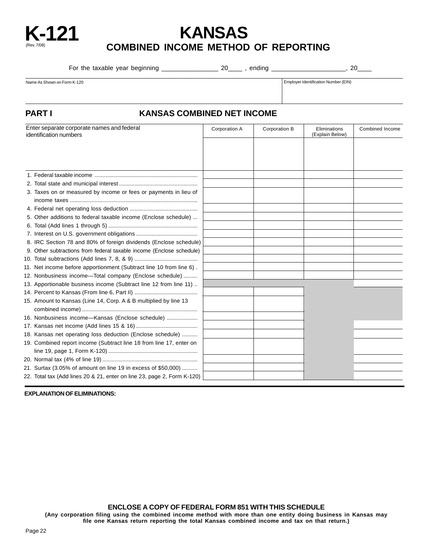

## **K-121 KANSAS COMBINED INCOME METHOD OF REPORTING**

For the taxable year beginning \_\_\_\_\_\_\_\_\_\_\_\_\_\_\_\_\_\_\_\_\_\_\_ 20\_\_\_\_\_\_\_, ending \_\_\_\_\_\_\_\_\_\_\_\_\_\_\_\_\_\_\_\_\_\_\_\_, 20\_\_\_\_\_\_

Name As Shown on Form K-120 **Employer Identification Number (EIN)** Employer Identification Number (EIN)

#### **PART I KANSAS COMBINED NET INCOME**

| Enter separate corporate names and federal<br>identification numbers |                                                                         | Corporation A | Corporation B | Eliminations<br>(Explain Below) | Combined Income |
|----------------------------------------------------------------------|-------------------------------------------------------------------------|---------------|---------------|---------------------------------|-----------------|
|                                                                      |                                                                         |               |               |                                 |                 |
|                                                                      |                                                                         |               |               |                                 |                 |
|                                                                      |                                                                         |               |               |                                 |                 |
|                                                                      |                                                                         |               |               |                                 |                 |
|                                                                      |                                                                         |               |               |                                 |                 |
|                                                                      | 3. Taxes on or measured by income or fees or payments in lieu of        |               |               |                                 |                 |
|                                                                      |                                                                         |               |               |                                 |                 |
|                                                                      |                                                                         |               |               |                                 |                 |
|                                                                      | 5. Other additions to federal taxable income (Enclose schedule)         |               |               |                                 |                 |
|                                                                      |                                                                         |               |               |                                 |                 |
|                                                                      |                                                                         |               |               |                                 |                 |
|                                                                      | 8. IRC Section 78 and 80% of foreign dividends (Enclose schedule)       |               |               |                                 |                 |
|                                                                      | 9. Other subtractions from federal taxable income (Enclose schedule)    |               |               |                                 |                 |
|                                                                      |                                                                         |               |               |                                 |                 |
|                                                                      | 11. Net income before apportionment (Subtract line 10 from line 6).     |               |               |                                 |                 |
|                                                                      | 12. Nonbusiness income-Total company (Enclose schedule)                 |               |               |                                 |                 |
|                                                                      | 13. Apportionable business income (Subtract line 12 from line 11)       |               |               |                                 |                 |
|                                                                      |                                                                         |               |               |                                 |                 |
|                                                                      | 15. Amount to Kansas (Line 14, Corp. A & B multiplied by line 13        |               |               |                                 |                 |
|                                                                      |                                                                         |               |               |                                 |                 |
|                                                                      | 16. Nonbusiness income-Kansas (Enclose schedule)                        |               |               |                                 |                 |
|                                                                      |                                                                         |               |               |                                 |                 |
|                                                                      | 18. Kansas net operating loss deduction (Enclose schedule)              |               |               |                                 |                 |
|                                                                      | 19. Combined report income (Subtract line 18 from line 17, enter on     |               |               |                                 |                 |
|                                                                      |                                                                         |               |               |                                 |                 |
|                                                                      |                                                                         |               |               |                                 |                 |
|                                                                      | 21. Surtax (3.05% of amount on line 19 in excess of \$50,000)           |               |               |                                 |                 |
|                                                                      | 22. Total tax (Add lines 20 & 21, enter on line 23, page 2, Form K-120) |               |               |                                 |                 |

**EXPLANATION OF ELIMINATIONS:** 

**ENCLOSE A COPY OF FEDERAL FORM 851 WITH THIS SCHEDULE**

**(Any corporation filing using the combined income method with more than one entity doing business in Kansas may file one Kansas return reporting the total Kansas combined income and tax on that return.)**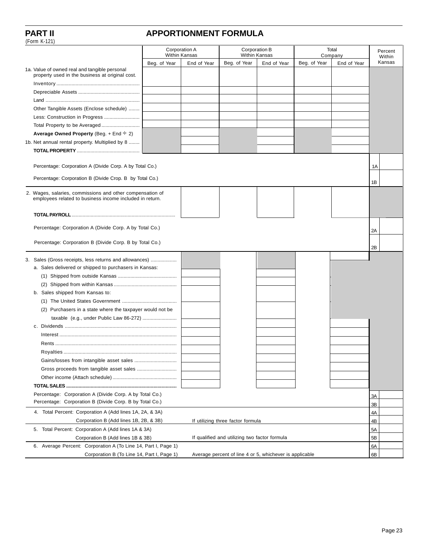(Form K-121)

### **PART II APPORTIONMENT FORMULA**

|                                                                                                                       | Corporation A |             |                                                         | Corporation B |              | Total       | Percent  |
|-----------------------------------------------------------------------------------------------------------------------|---------------|-------------|---------------------------------------------------------|---------------|--------------|-------------|----------|
|                                                                                                                       | Within Kansas |             |                                                         | Within Kansas |              | Company     | Within   |
| 1a. Value of owned real and tangible personal                                                                         | Beg. of Year  | End of Year | Beg. of Year                                            | End of Year   | Beg. of Year | End of Year | Kansas   |
| property used in the business at original cost.                                                                       |               |             |                                                         |               |              |             |          |
|                                                                                                                       |               |             |                                                         |               |              |             |          |
|                                                                                                                       |               |             |                                                         |               |              |             |          |
|                                                                                                                       |               |             |                                                         |               |              |             |          |
| Other Tangible Assets (Enclose schedule)                                                                              |               |             |                                                         |               |              |             |          |
| Less: Construction in Progress                                                                                        |               |             |                                                         |               |              |             |          |
|                                                                                                                       |               |             |                                                         |               |              |             |          |
| Average Owned Property (Beg. + End $\div$ 2)                                                                          |               |             |                                                         |               |              |             |          |
| 1b. Net annual rental property. Multiplied by 8                                                                       |               |             |                                                         |               |              |             |          |
|                                                                                                                       |               |             |                                                         |               |              |             |          |
|                                                                                                                       |               |             |                                                         |               |              |             |          |
| Percentage: Corporation A (Divide Corp. A by Total Co.)                                                               |               |             |                                                         |               |              |             | 1A       |
| Percentage: Corporation B (Divide Crop. B by Total Co.)                                                               |               |             |                                                         |               |              |             |          |
|                                                                                                                       |               |             |                                                         |               |              |             | 1B       |
| 2. Wages, salaries, commissions and other compensation of<br>employees related to business income included in return. |               |             |                                                         |               |              |             |          |
|                                                                                                                       |               |             |                                                         |               |              |             |          |
|                                                                                                                       |               |             |                                                         |               |              |             |          |
| Percentage: Corporation A (Divide Corp. A by Total Co.)                                                               |               |             |                                                         |               |              |             |          |
|                                                                                                                       |               |             |                                                         |               |              |             | 2A       |
| Percentage: Corporation B (Divide Corp. B by Total Co.)                                                               |               |             |                                                         |               |              |             | 2B       |
| 3. Sales (Gross receipts, less returns and allowances)                                                                |               |             |                                                         |               |              |             |          |
| a. Sales delivered or shipped to purchasers in Kansas:                                                                |               |             |                                                         |               |              |             |          |
|                                                                                                                       |               |             |                                                         |               |              |             |          |
|                                                                                                                       |               |             |                                                         |               |              |             |          |
| b. Sales shipped from Kansas to:                                                                                      |               |             |                                                         |               |              |             |          |
|                                                                                                                       |               |             |                                                         |               |              |             |          |
| (2) Purchasers in a state where the taxpayer would not be                                                             |               |             |                                                         |               |              |             |          |
| taxable (e.g., under Public Law 86-272)                                                                               |               |             |                                                         |               |              |             |          |
|                                                                                                                       |               |             |                                                         |               |              |             |          |
|                                                                                                                       |               |             |                                                         |               |              |             |          |
|                                                                                                                       |               |             |                                                         |               |              |             |          |
|                                                                                                                       |               |             |                                                         |               |              |             |          |
|                                                                                                                       |               |             |                                                         |               |              |             |          |
|                                                                                                                       |               |             |                                                         |               |              |             |          |
|                                                                                                                       |               |             |                                                         |               |              |             |          |
|                                                                                                                       |               |             |                                                         |               |              |             |          |
|                                                                                                                       |               |             |                                                         |               |              |             |          |
| Percentage: Corporation A (Divide Corp. A by Total Co.)<br>Percentage: Corporation B (Divide Corp. B by Total Co.)    |               |             |                                                         |               |              |             | 3A<br>3B |
| 4. Total Percent: Corporation A (Add lines 1A, 2A, & 3A)                                                              |               |             |                                                         |               |              |             | 4A       |
| Corporation B (Add lines 1B, 2B, & 3B)                                                                                |               |             | If utilizing three factor formula                       |               |              |             | 4B       |
| 5. Total Percent: Corporation A (Add lines 1A & 3A)                                                                   |               |             |                                                         |               |              |             | 5A       |
| Corporation B (Add lines 1B & 3B)                                                                                     |               |             | If qualified and utilizing two factor formula           |               |              |             | 5B       |
| 6. Average Percent: Corporation A (To Line 14, Part I, Page 1)                                                        |               |             |                                                         |               |              |             | 6A       |
| Corporation B (To Line 14, Part I, Page 1)                                                                            |               |             | Average percent of line 4 or 5, whichever is applicable |               |              |             | 6B       |